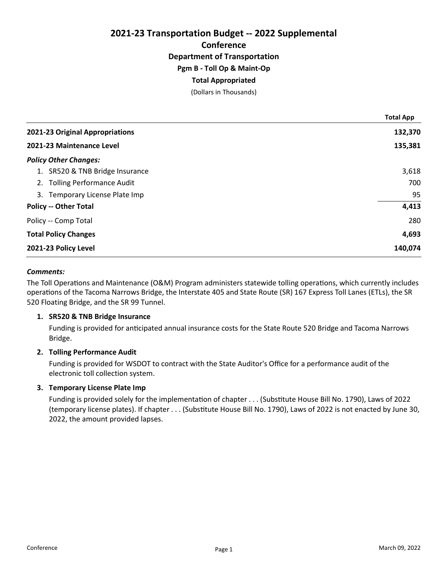# 2021-23 Transportation Budget -- 2022 Supplemental **Conference** Department of Transportation Pgm B - Toll Op & Maint-Op Total Appropriated

(Dollars in Thousands)

|                                 | <b>Total App</b> |
|---------------------------------|------------------|
| 2021-23 Original Appropriations | 132,370          |
| 2021-23 Maintenance Level       | 135,381          |
| <b>Policy Other Changes:</b>    |                  |
| 1. SR520 & TNB Bridge Insurance | 3,618            |
| 2. Tolling Performance Audit    | 700              |
| 3. Temporary License Plate Imp  | 95               |
| <b>Policy -- Other Total</b>    | 4,413            |
| Policy -- Comp Total            | 280              |
| <b>Total Policy Changes</b>     | 4,693            |
| 2021-23 Policy Level            | 140,074          |

## Comments:

The Toll Operations and Maintenance (O&M) Program administers statewide tolling operations, which currently includes operations of the Tacoma Narrows Bridge, the Interstate 405 and State Route (SR) 167 Express Toll Lanes (ETLs), the SR 520 Floating Bridge, and the SR 99 Tunnel.

# 1. SR520 & TNB Bridge Insurance

Funding is provided for anticipated annual insurance costs for the State Route 520 Bridge and Tacoma Narrows Bridge.

# 2. Tolling Performance Audit

Funding is provided for WSDOT to contract with the State Auditor's Office for a performance audit of the electronic toll collection system.

## 3. Temporary License Plate Imp

Funding is provided solely for the implementation of chapter . . . (Substitute House Bill No. 1790), Laws of 2022 (temporary license plates). If chapter . . . (Substitute House Bill No. 1790), Laws of 2022 is not enacted by June 30, 2022, the amount provided lapses.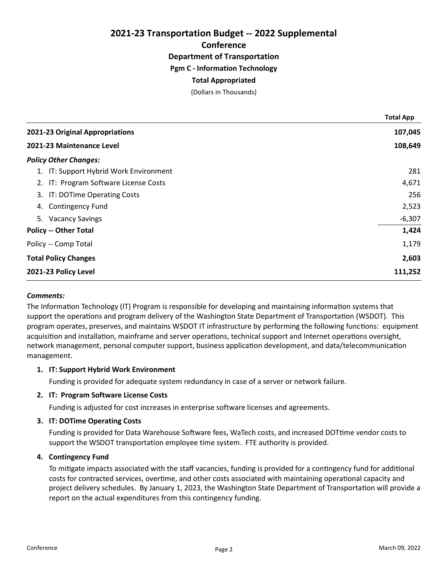2021-23 Transportation Budget -- 2022 Supplemental **Conference** Department of Transportation Pgm C - Information Technology

# Total Appropriated

(Dollars in Thousands)

|                                        | <b>Total App</b> |
|----------------------------------------|------------------|
| 2021-23 Original Appropriations        | 107,045          |
| 2021-23 Maintenance Level              | 108,649          |
| <b>Policy Other Changes:</b>           |                  |
| 1. IT: Support Hybrid Work Environment | 281              |
| 2. IT: Program Software License Costs  | 4,671            |
| 3. IT: DOTime Operating Costs          | 256              |
| <b>Contingency Fund</b><br>4.          | 2,523            |
| 5. Vacancy Savings                     | $-6,307$         |
| <b>Policy -- Other Total</b>           | 1,424            |
| Policy -- Comp Total                   | 1,179            |
| <b>Total Policy Changes</b>            | 2,603            |
| 2021-23 Policy Level                   | 111,252          |

## Comments:

The Information Technology (IT) Program is responsible for developing and maintaining information systems that support the operations and program delivery of the Washington State Department of Transportation (WSDOT). This program operates, preserves, and maintains WSDOT IT infrastructure by performing the following functions: equipment acquisition and installation, mainframe and server operations, technical support and Internet operations oversight, network management, personal computer support, business application development, and data/telecommunication management.

## 1. IT: Support Hybrid Work Environment

Funding is provided for adequate system redundancy in case of a server or network failure.

## 2. IT: Program Software License Costs

Funding is adjusted for cost increases in enterprise software licenses and agreements.

## 3. IT: DOTime Operating Costs

Funding is provided for Data Warehouse Software fees, WaTech costs, and increased DOTtime vendor costs to support the WSDOT transportation employee time system. FTE authority is provided.

## 4. Contingency Fund

To mitigate impacts associated with the staff vacancies, funding is provided for a contingency fund for additional costs for contracted services, overtime, and other costs associated with maintaining operational capacity and project delivery schedules. By January 1, 2023, the Washington State Department of Transportation will provide a report on the actual expenditures from this contingency funding.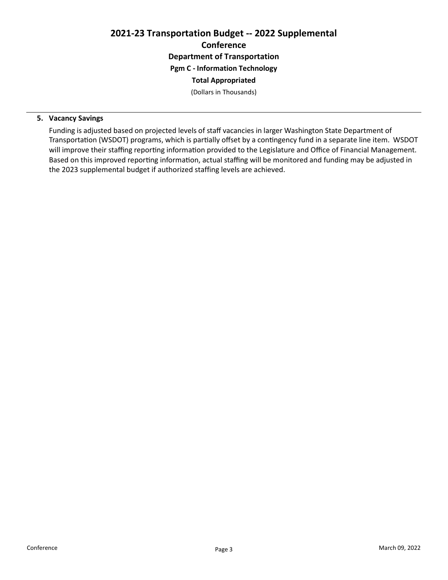# 2021-23 Transportation Budget -- 2022 Supplemental **Conference** Department of Transportation Pgm C - Information Technology Total Appropriated

(Dollars in Thousands)

# 5. Vacancy Savings

Funding is adjusted based on projected levels of staff vacancies in larger Washington State Department of Transportation (WSDOT) programs, which is partially offset by a contingency fund in a separate line item. WSDOT will improve their staffing reporting information provided to the Legislature and Office of Financial Management. Based on this improved reporting information, actual staffing will be monitored and funding may be adjusted in the 2023 supplemental budget if authorized staffing levels are achieved.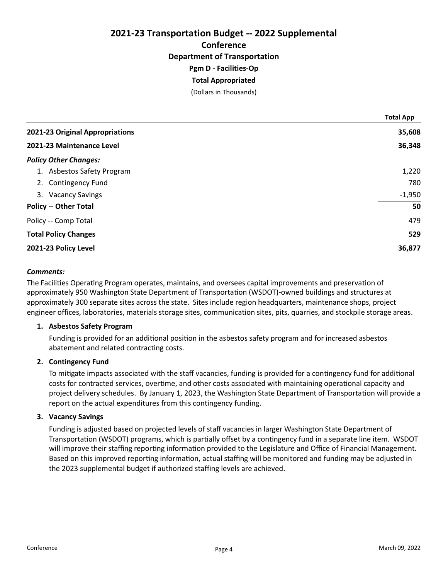# 2021-23 Transportation Budget -- 2022 Supplemental **Conference** Department of Transportation Pgm D - Facilities-Op Total Appropriated

(Dollars in Thousands)

|                                 | <b>Total App</b> |
|---------------------------------|------------------|
| 2021-23 Original Appropriations | 35,608           |
| 2021-23 Maintenance Level       | 36,348           |
| <b>Policy Other Changes:</b>    |                  |
| 1. Asbestos Safety Program      | 1,220            |
| 2. Contingency Fund             | 780              |
| 3. Vacancy Savings              | $-1,950$         |
| <b>Policy -- Other Total</b>    | 50               |
| Policy -- Comp Total            | 479              |
| <b>Total Policy Changes</b>     | 529              |
| 2021-23 Policy Level            | 36,877           |

# Comments:

The Facilities Operating Program operates, maintains, and oversees capital improvements and preservation of approximately 950 Washington State Department of Transportation (WSDOT)-owned buildings and structures at approximately 300 separate sites across the state. Sites include region headquarters, maintenance shops, project engineer offices, laboratories, materials storage sites, communication sites, pits, quarries, and stockpile storage areas.

## 1. Asbestos Safety Program

Funding is provided for an additional position in the asbestos safety program and for increased asbestos abatement and related contracting costs.

# 2. Contingency Fund

To mitigate impacts associated with the staff vacancies, funding is provided for a contingency fund for additional costs for contracted services, overtime, and other costs associated with maintaining operational capacity and project delivery schedules. By January 1, 2023, the Washington State Department of Transportation will provide a report on the actual expenditures from this contingency funding.

## 3. Vacancy Savings

Funding is adjusted based on projected levels of staff vacancies in larger Washington State Department of Transportation (WSDOT) programs, which is partially offset by a contingency fund in a separate line item. WSDOT will improve their staffing reporting information provided to the Legislature and Office of Financial Management. Based on this improved reporting information, actual staffing will be monitored and funding may be adjusted in the 2023 supplemental budget if authorized staffing levels are achieved.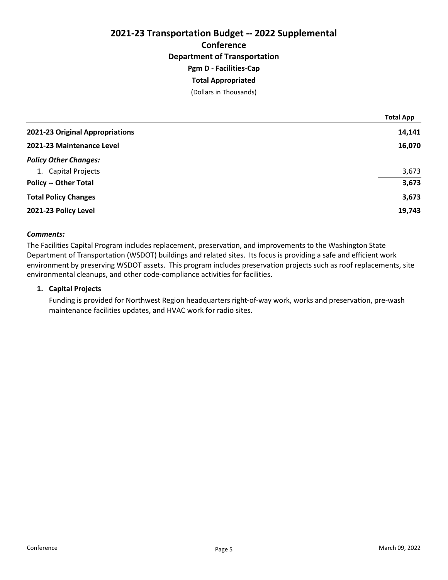# 2021-23 Transportation Budget -- 2022 Supplemental **Conference** Department of Transportation Pgm D - Facilities-Cap Total Appropriated

(Dollars in Thousands)

|                                 | <b>Total App</b> |
|---------------------------------|------------------|
| 2021-23 Original Appropriations | 14,141           |
| 2021-23 Maintenance Level       | 16,070           |
| <b>Policy Other Changes:</b>    |                  |
| 1. Capital Projects             | 3,673            |
| <b>Policy -- Other Total</b>    | 3,673            |
| <b>Total Policy Changes</b>     | 3,673            |
| 2021-23 Policy Level            | 19,743           |

## Comments:

The Facilities Capital Program includes replacement, preservation, and improvements to the Washington State Department of Transportation (WSDOT) buildings and related sites. Its focus is providing a safe and efficient work environment by preserving WSDOT assets. This program includes preservation projects such as roof replacements, site environmental cleanups, and other code-compliance activities for facilities.

# 1. Capital Projects

Funding is provided for Northwest Region headquarters right-of-way work, works and preservation, pre-wash maintenance facilities updates, and HVAC work for radio sites.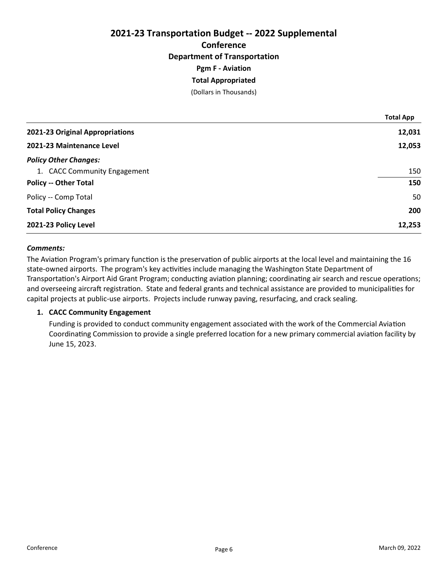# 2021-23 Transportation Budget -- 2022 Supplemental **Conference** Department of Transportation Pgm F - Aviation Total Appropriated

(Dollars in Thousands)

|                                 | <b>Total App</b> |
|---------------------------------|------------------|
| 2021-23 Original Appropriations | 12,031           |
| 2021-23 Maintenance Level       | 12,053           |
| <b>Policy Other Changes:</b>    |                  |
| 1. CACC Community Engagement    | 150              |
| <b>Policy -- Other Total</b>    | 150              |
| Policy -- Comp Total            | 50               |
| <b>Total Policy Changes</b>     | 200              |
| 2021-23 Policy Level            | 12,253           |

## Comments:

The Aviation Program's primary function is the preservation of public airports at the local level and maintaining the 16 state-owned airports. The program's key activities include managing the Washington State Department of Transportation's Airport Aid Grant Program; conducting aviation planning; coordinating air search and rescue operations; and overseeing aircraft registration. State and federal grants and technical assistance are provided to municipalities for capital projects at public-use airports. Projects include runway paving, resurfacing, and crack sealing.

## 1. CACC Community Engagement

Funding is provided to conduct community engagement associated with the work of the Commercial Aviation Coordinating Commission to provide a single preferred location for a new primary commercial aviation facility by June 15, 2023.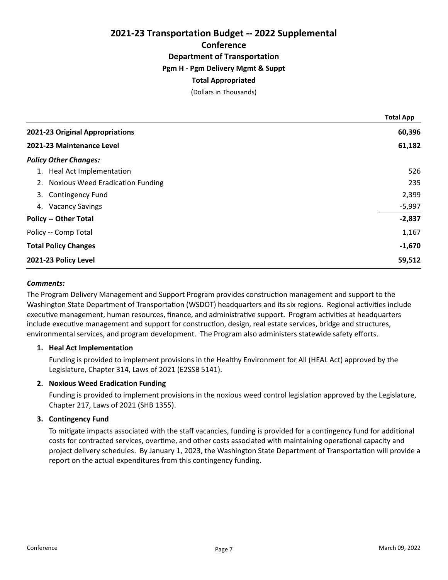# 2021-23 Transportation Budget -- 2022 Supplemental **Conference** Department of Transportation Pgm H - Pgm Delivery Mgmt & Suppt Total Appropriated

(Dollars in Thousands)

|                                     | <b>Total App</b> |
|-------------------------------------|------------------|
| 2021-23 Original Appropriations     | 60,396           |
| 2021-23 Maintenance Level           | 61,182           |
| <b>Policy Other Changes:</b>        |                  |
| Heal Act Implementation<br>1.       | 526              |
| 2. Noxious Weed Eradication Funding | 235              |
| 3.<br><b>Contingency Fund</b>       | 2,399            |
| <b>Vacancy Savings</b><br>4.        | $-5,997$         |
| <b>Policy -- Other Total</b>        | $-2,837$         |
| Policy -- Comp Total                | 1,167            |
| <b>Total Policy Changes</b>         | $-1,670$         |
| 2021-23 Policy Level                | 59,512           |

## Comments:

The Program Delivery Management and Support Program provides construction management and support to the Washington State Department of Transportation (WSDOT) headquarters and its six regions. Regional activities include executive management, human resources, finance, and administrative support. Program activities at headquarters include executive management and support for construction, design, real estate services, bridge and structures, environmental services, and program development. The Program also administers statewide safety efforts.

## 1. Heal Act Implementation

Funding is provided to implement provisions in the Healthy Environment for All (HEAL Act) approved by the Legislature, Chapter 314, Laws of 2021 (E2SSB 5141).

## 2. Noxious Weed Eradication Funding

Funding is provided to implement provisions in the noxious weed control legislation approved by the Legislature, Chapter 217, Laws of 2021 (SHB 1355).

## 3. Contingency Fund

To mitigate impacts associated with the staff vacancies, funding is provided for a contingency fund for additional costs for contracted services, overtime, and other costs associated with maintaining operational capacity and project delivery schedules. By January 1, 2023, the Washington State Department of Transportation will provide a report on the actual expenditures from this contingency funding.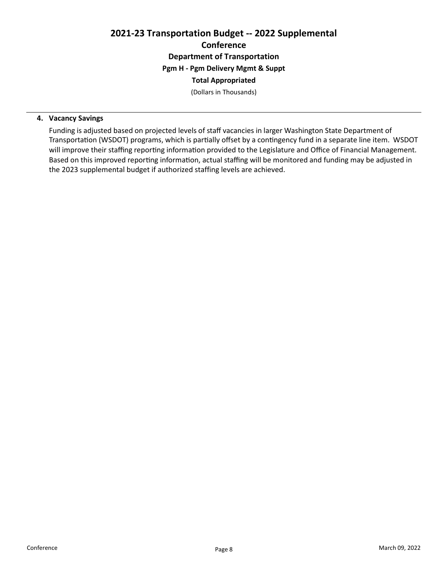# 2021-23 Transportation Budget -- 2022 Supplemental **Conference** Department of Transportation Pgm H - Pgm Delivery Mgmt & Suppt Total Appropriated

(Dollars in Thousands)

# 4. Vacancy Savings

Funding is adjusted based on projected levels of staff vacancies in larger Washington State Department of Transportation (WSDOT) programs, which is partially offset by a contingency fund in a separate line item. WSDOT will improve their staffing reporting information provided to the Legislature and Office of Financial Management. Based on this improved reporting information, actual staffing will be monitored and funding may be adjusted in the 2023 supplemental budget if authorized staffing levels are achieved.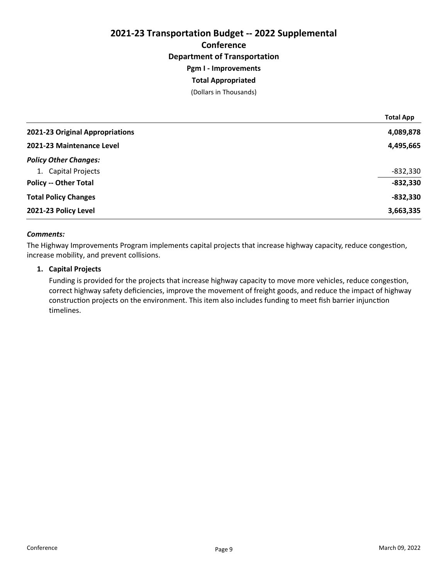# 2021-23 Transportation Budget -- 2022 Supplemental **Conference** Department of Transportation Pgm I - Improvements Total Appropriated

(Dollars in Thousands)

|                                 | <b>Total App</b> |
|---------------------------------|------------------|
| 2021-23 Original Appropriations | 4,089,878        |
| 2021-23 Maintenance Level       | 4,495,665        |
| <b>Policy Other Changes:</b>    |                  |
| 1. Capital Projects             | $-832,330$       |
| <b>Policy -- Other Total</b>    | $-832,330$       |
| <b>Total Policy Changes</b>     | $-832,330$       |
| 2021-23 Policy Level            | 3,663,335        |

## Comments:

The Highway Improvements Program implements capital projects that increase highway capacity, reduce congestion, increase mobility, and prevent collisions.

# 1. Capital Projects

Funding is provided for the projects that increase highway capacity to move more vehicles, reduce congestion, correct highway safety deficiencies, improve the movement of freight goods, and reduce the impact of highway construction projects on the environment. This item also includes funding to meet fish barrier injunction timelines.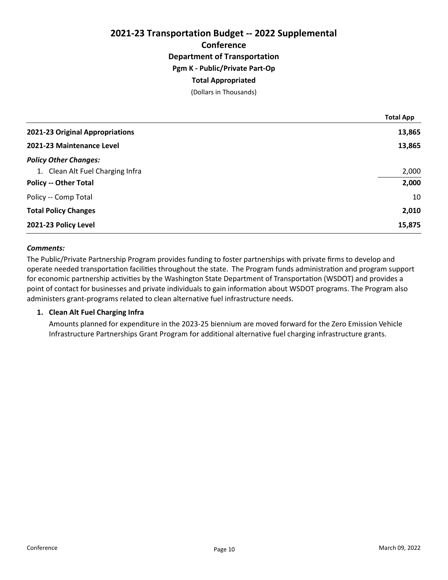# 2021-23 Transportation Budget -- 2022 Supplemental **Conference** Department of Transportation Pgm K - Public/Private Part-Op Total Appropriated (Dollars in Thousands)

|                                  | <b>Total App</b> |
|----------------------------------|------------------|
| 2021-23 Original Appropriations  | 13,865           |
| 2021-23 Maintenance Level        | 13,865           |
| <b>Policy Other Changes:</b>     |                  |
| 1. Clean Alt Fuel Charging Infra | 2,000            |
| <b>Policy -- Other Total</b>     | 2,000            |
| Policy -- Comp Total             | 10               |
| <b>Total Policy Changes</b>      | 2,010            |
| 2021-23 Policy Level             | 15,875           |

## Comments:

The Public/Private Partnership Program provides funding to foster partnerships with private firms to develop and operate needed transportation facilities throughout the state. The Program funds administration and program support for economic partnership activities by the Washington State Department of Transportation (WSDOT) and provides a point of contact for businesses and private individuals to gain information about WSDOT programs. The Program also administers grant-programs related to clean alternative fuel infrastructure needs.

## 1. Clean Alt Fuel Charging Infra

Amounts planned for expenditure in the 2023-25 biennium are moved forward for the Zero Emission Vehicle Infrastructure Partnerships Grant Program for additional alternative fuel charging infrastructure grants.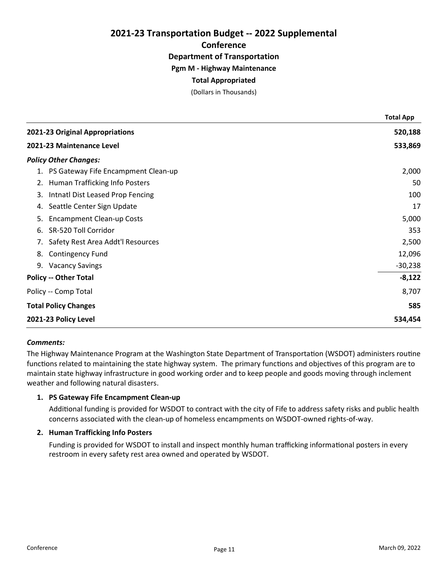2021-23 Transportation Budget -- 2022 Supplemental **Conference** 

Department of Transportation

Pgm M - Highway Maintenance

# Total Appropriated

(Dollars in Thousands)

|    |                                     | <b>Total App</b> |
|----|-------------------------------------|------------------|
|    | 2021-23 Original Appropriations     | 520,188          |
|    | 2021-23 Maintenance Level           | 533,869          |
|    | <b>Policy Other Changes:</b>        |                  |
| 1. | PS Gateway Fife Encampment Clean-up | 2,000            |
| 2. | Human Trafficking Info Posters      | 50               |
| 3. | Intnatl Dist Leased Prop Fencing    | 100              |
| 4. | Seattle Center Sign Update          | 17               |
| 5. | <b>Encampment Clean-up Costs</b>    | 5,000            |
| 6. | SR-520 Toll Corridor                | 353              |
| 7. | Safety Rest Area Addt'l Resources   | 2,500            |
| 8. | <b>Contingency Fund</b>             | 12,096           |
| 9. | <b>Vacancy Savings</b>              | $-30,238$        |
|    | <b>Policy -- Other Total</b>        | $-8,122$         |
|    | Policy -- Comp Total                | 8,707            |
|    | <b>Total Policy Changes</b>         | 585              |
|    | 2021-23 Policy Level                | 534,454          |

## Comments:

The Highway Maintenance Program at the Washington State Department of Transportation (WSDOT) administers routine functions related to maintaining the state highway system. The primary functions and objectives of this program are to maintain state highway infrastructure in good working order and to keep people and goods moving through inclement weather and following natural disasters.

# 1. PS Gateway Fife Encampment Clean-up

Additional funding is provided for WSDOT to contract with the city of Fife to address safety risks and public health concerns associated with the clean-up of homeless encampments on WSDOT-owned rights-of-way.

## 2. Human Trafficking Info Posters

Funding is provided for WSDOT to install and inspect monthly human trafficking informational posters in every restroom in every safety rest area owned and operated by WSDOT.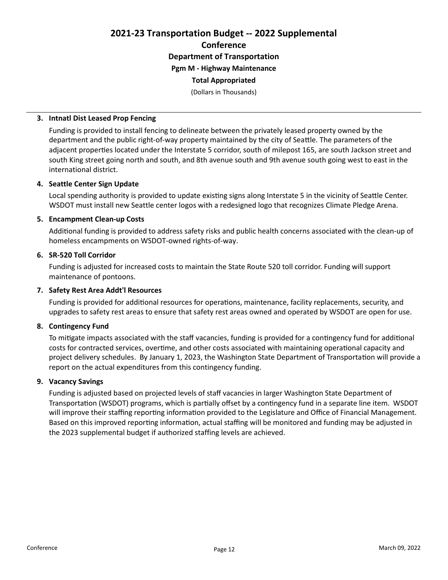# 2021-23 Transportation Budget -- 2022 Supplemental Conference Department of Transportation Pgm M - Highway Maintenance

# Total Appropriated

(Dollars in Thousands)

## 3. Intnatl Dist Leased Prop Fencing

Funding is provided to install fencing to delineate between the privately leased property owned by the department and the public right-of-way property maintained by the city of Seattle. The parameters of the adjacent properties located under the Interstate 5 corridor, south of milepost 165, are south Jackson street and south King street going north and south, and 8th avenue south and 9th avenue south going west to east in the international district.

# 4. Seattle Center Sign Update

Local spending authority is provided to update existing signs along Interstate 5 in the vicinity of Seattle Center. WSDOT must install new Seattle center logos with a redesigned logo that recognizes Climate Pledge Arena.

# 5. Encampment Clean-up Costs

Additional funding is provided to address safety risks and public health concerns associated with the clean-up of homeless encampments on WSDOT-owned rights-of-way.

# 6. SR-520 Toll Corridor

Funding is adjusted for increased costs to maintain the State Route 520 toll corridor. Funding will support maintenance of pontoons.

# 7. Safety Rest Area Addt'l Resources

Funding is provided for additional resources for operations, maintenance, facility replacements, security, and upgrades to safety rest areas to ensure that safety rest areas owned and operated by WSDOT are open for use.

## 8. Contingency Fund

To mitigate impacts associated with the staff vacancies, funding is provided for a contingency fund for additional costs for contracted services, overtime, and other costs associated with maintaining operational capacity and project delivery schedules. By January 1, 2023, the Washington State Department of Transportation will provide a report on the actual expenditures from this contingency funding.

## 9. Vacancy Savings

Funding is adjusted based on projected levels of staff vacancies in larger Washington State Department of Transportation (WSDOT) programs, which is partially offset by a contingency fund in a separate line item. WSDOT will improve their staffing reporting information provided to the Legislature and Office of Financial Management. Based on this improved reporting information, actual staffing will be monitored and funding may be adjusted in the 2023 supplemental budget if authorized staffing levels are achieved.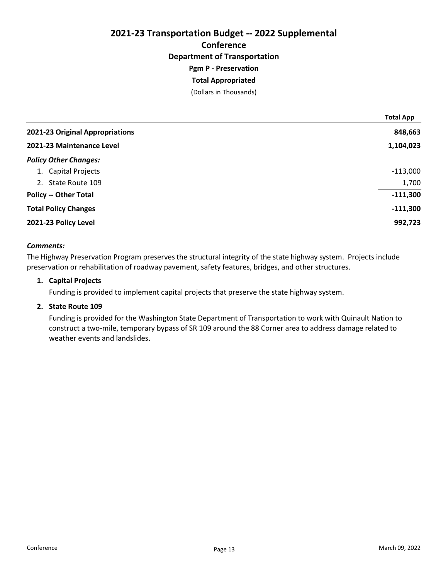# 2021-23 Transportation Budget -- 2022 Supplemental **Conference** Department of Transportation Pgm P - Preservation Total Appropriated

(Dollars in Thousands)

|                                 | <b>Total App</b> |
|---------------------------------|------------------|
| 2021-23 Original Appropriations | 848,663          |
| 2021-23 Maintenance Level       | 1,104,023        |
| <b>Policy Other Changes:</b>    |                  |
| 1. Capital Projects             | $-113,000$       |
| 2. State Route 109              | 1,700            |
| <b>Policy -- Other Total</b>    | $-111,300$       |
| <b>Total Policy Changes</b>     | $-111,300$       |
| 2021-23 Policy Level            | 992,723          |

# Comments:

The Highway Preservation Program preserves the structural integrity of the state highway system. Projects include preservation or rehabilitation of roadway pavement, safety features, bridges, and other structures.

# 1. Capital Projects

Funding is provided to implement capital projects that preserve the state highway system.

# 2. State Route 109

Funding is provided for the Washington State Department of Transportation to work with Quinault Nation to construct a two-mile, temporary bypass of SR 109 around the 88 Corner area to address damage related to weather events and landslides.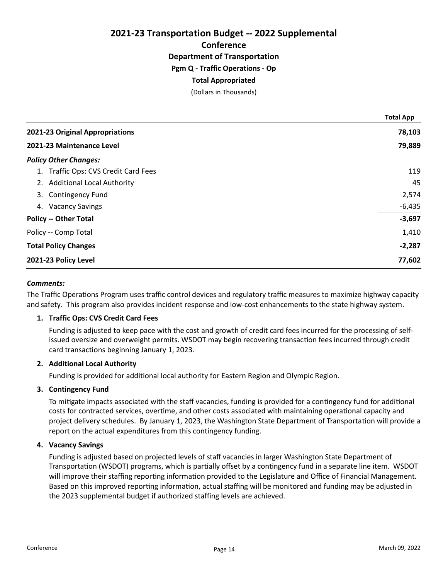2021-23 Transportation Budget -- 2022 Supplemental Conference Department of Transportation Pgm Q - Traffic Operations - Op Total Appropriated (Dollars in Thousands)

2021-23 Original Appropriations 78,103 2021-23 Maintenance Level 79,889 Policy Other Changes: 1. Traffic Ops: CVS Credit Card Fees 119 2. Additional Local Authority 45 3. Contingency Fund 2,574 4. Vacancy Savings -6,435 Policy -- Other Total -3,697 Policy -- Comp Total 1,410 Total Policy Changes **2008** -2,287 2021-23 Policy Level 77,602 Total App

## Comments:

The Traffic Operations Program uses traffic control devices and regulatory traffic measures to maximize highway capacity and safety. This program also provides incident response and low-cost enhancements to the state highway system.

# 1. Traffic Ops: CVS Credit Card Fees

Funding is adjusted to keep pace with the cost and growth of credit card fees incurred for the processing of selfissued oversize and overweight permits. WSDOT may begin recovering transaction fees incurred through credit card transactions beginning January 1, 2023.

## 2. Additional Local Authority

Funding is provided for additional local authority for Eastern Region and Olympic Region.

## 3. Contingency Fund

To mitigate impacts associated with the staff vacancies, funding is provided for a contingency fund for additional costs for contracted services, overtime, and other costs associated with maintaining operational capacity and project delivery schedules. By January 1, 2023, the Washington State Department of Transportation will provide a report on the actual expenditures from this contingency funding.

## 4. Vacancy Savings

Funding is adjusted based on projected levels of staff vacancies in larger Washington State Department of Transportation (WSDOT) programs, which is partially offset by a contingency fund in a separate line item. WSDOT will improve their staffing reporting information provided to the Legislature and Office of Financial Management. Based on this improved reporting information, actual staffing will be monitored and funding may be adjusted in the 2023 supplemental budget if authorized staffing levels are achieved.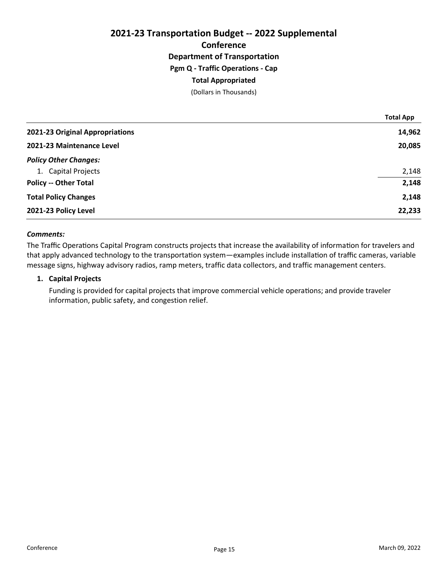# 2021-23 Transportation Budget -- 2022 Supplemental **Conference** Department of Transportation Pgm Q - Traffic Operations - Cap Total Appropriated (Dollars in Thousands)

|                                 | <b>Total App</b> |
|---------------------------------|------------------|
| 2021-23 Original Appropriations | 14,962           |
| 2021-23 Maintenance Level       | 20,085           |
| <b>Policy Other Changes:</b>    |                  |
| 1. Capital Projects             | 2,148            |
| <b>Policy -- Other Total</b>    | 2,148            |
| <b>Total Policy Changes</b>     | 2,148            |
| 2021-23 Policy Level            | 22,233           |

## Comments:

The Traffic Operations Capital Program constructs projects that increase the availability of information for travelers and that apply advanced technology to the transportation system—examples include installation of traffic cameras, variable message signs, highway advisory radios, ramp meters, traffic data collectors, and traffic management centers.

#### 1. Capital Projects

Funding is provided for capital projects that improve commercial vehicle operations; and provide traveler information, public safety, and congestion relief.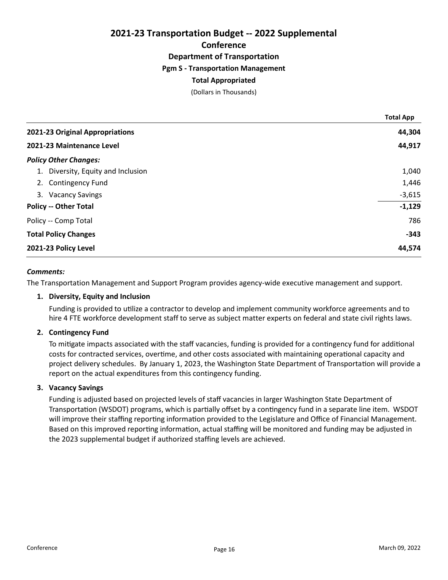# 2021-23 Transportation Budget -- 2022 Supplemental **Conference** Department of Transportation Pgm S - Transportation Management Total Appropriated

# (Dollars in Thousands)

|                                    | <b>Total App</b> |
|------------------------------------|------------------|
| 2021-23 Original Appropriations    | 44,304           |
| 2021-23 Maintenance Level          | 44,917           |
| <b>Policy Other Changes:</b>       |                  |
| 1. Diversity, Equity and Inclusion | 1,040            |
| 2. Contingency Fund                | 1,446            |
| 3. Vacancy Savings                 | $-3,615$         |
| <b>Policy -- Other Total</b>       | $-1,129$         |
| Policy -- Comp Total               | 786              |
| <b>Total Policy Changes</b>        | $-343$           |
| 2021-23 Policy Level               | 44,574           |

#### Comments:

The Transportation Management and Support Program provides agency-wide executive management and support.

#### 1. Diversity, Equity and Inclusion

Funding is provided to uƟlize a contractor to develop and implement community workforce agreements and to hire 4 FTE workforce development staff to serve as subject matter experts on federal and state civil rights laws.

## 2. Contingency Fund

To mitigate impacts associated with the staff vacancies, funding is provided for a contingency fund for additional costs for contracted services, overtime, and other costs associated with maintaining operational capacity and project delivery schedules. By January 1, 2023, the Washington State Department of Transportation will provide a report on the actual expenditures from this contingency funding.

## 3. Vacancy Savings

Funding is adjusted based on projected levels of staff vacancies in larger Washington State Department of Transportation (WSDOT) programs, which is partially offset by a contingency fund in a separate line item. WSDOT will improve their staffing reporting information provided to the Legislature and Office of Financial Management. Based on this improved reporting information, actual staffing will be monitored and funding may be adjusted in the 2023 supplemental budget if authorized staffing levels are achieved.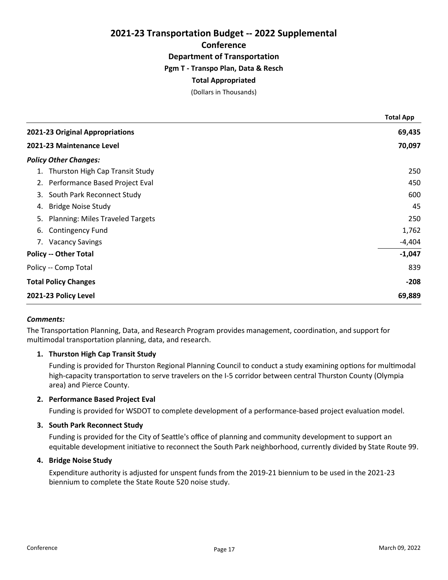# 2021-23 Transportation Budget -- 2022 Supplemental **Conference** Department of Transportation Pgm T - Transpo Plan, Data & Resch

# Total Appropriated

(Dollars in Thousands)

|                           |                                         | <b>Total App</b> |
|---------------------------|-----------------------------------------|------------------|
|                           | 2021-23 Original Appropriations         | 69,435           |
| 2021-23 Maintenance Level |                                         | 70,097           |
|                           | <b>Policy Other Changes:</b>            |                  |
| 1.                        | Thurston High Cap Transit Study         | 250              |
|                           | 2. Performance Based Project Eval       | 450              |
| 3.                        | South Park Reconnect Study              | 600              |
| 4.                        | <b>Bridge Noise Study</b>               | 45               |
| 5.                        | <b>Planning: Miles Traveled Targets</b> | 250              |
| 6.                        | <b>Contingency Fund</b>                 | 1,762            |
|                           | 7. Vacancy Savings                      | $-4,404$         |
|                           | <b>Policy -- Other Total</b>            | $-1,047$         |
|                           | Policy -- Comp Total                    | 839              |
|                           | <b>Total Policy Changes</b>             | $-208$           |
|                           | 2021-23 Policy Level                    | 69,889           |

## Comments:

The Transportation Planning, Data, and Research Program provides management, coordination, and support for multimodal transportation planning, data, and research.

# 1. Thurston High Cap Transit Study

Funding is provided for Thurston Regional Planning Council to conduct a study examining options for multimodal high-capacity transportation to serve travelers on the I-5 corridor between central Thurston County (Olympia area) and Pierce County.

# 2. Performance Based Project Eval

Funding is provided for WSDOT to complete development of a performance-based project evaluation model.

## 3. South Park Reconnect Study

Funding is provided for the City of Seattle's office of planning and community development to support an equitable development initiative to reconnect the South Park neighborhood, currently divided by State Route 99.

## 4. Bridge Noise Study

Expenditure authority is adjusted for unspent funds from the 2019-21 biennium to be used in the 2021-23 biennium to complete the State Route 520 noise study.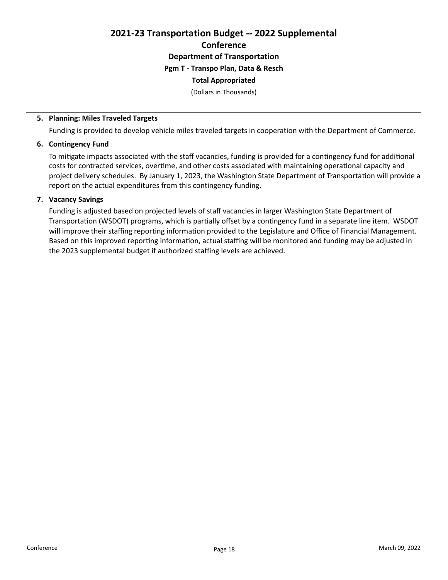# 2021-23 Transportation Budget -- 2022 Supplemental **Conference** Department of Transportation Pgm T - Transpo Plan, Data & Resch Total Appropriated

(Dollars in Thousands)

# 5. Planning: Miles Traveled Targets

Funding is provided to develop vehicle miles traveled targets in cooperation with the Department of Commerce.

## 6. Contingency Fund

To mitigate impacts associated with the staff vacancies, funding is provided for a contingency fund for additional costs for contracted services, overtime, and other costs associated with maintaining operational capacity and project delivery schedules. By January 1, 2023, the Washington State Department of Transportation will provide a report on the actual expenditures from this contingency funding.

## 7. Vacancy Savings

Funding is adjusted based on projected levels of staff vacancies in larger Washington State Department of Transportation (WSDOT) programs, which is partially offset by a contingency fund in a separate line item. WSDOT will improve their staffing reporting information provided to the Legislature and Office of Financial Management. Based on this improved reporting information, actual staffing will be monitored and funding may be adjusted in the 2023 supplemental budget if authorized staffing levels are achieved.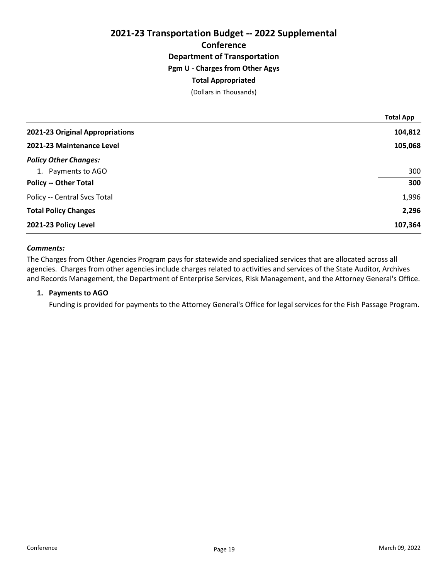# 2021-23 Transportation Budget -- 2022 Supplemental **Conference** Department of Transportation Pgm U - Charges from Other Agys Total Appropriated (Dollars in Thousands)

|                                 | <b>Total App</b> |
|---------------------------------|------------------|
| 2021-23 Original Appropriations | 104,812          |
| 2021-23 Maintenance Level       | 105,068          |
| <b>Policy Other Changes:</b>    |                  |
| 1. Payments to AGO              | 300              |
| <b>Policy -- Other Total</b>    | 300              |
| Policy -- Central Svcs Total    | 1,996            |
| <b>Total Policy Changes</b>     | 2,296            |
| 2021-23 Policy Level            | 107,364          |

## Comments:

The Charges from Other Agencies Program pays for statewide and specialized services that are allocated across all agencies. Charges from other agencies include charges related to activities and services of the State Auditor, Archives and Records Management, the Department of Enterprise Services, Risk Management, and the Attorney General's Office.

#### 1. Payments to AGO

Funding is provided for payments to the Attorney General's Office for legal services for the Fish Passage Program.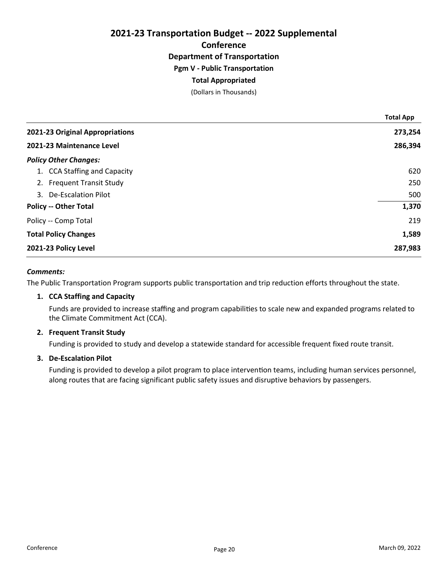# 2021-23 Transportation Budget -- 2022 Supplemental **Conference** Department of Transportation Pgm V - Public Transportation Total Appropriated

(Dollars in Thousands)

|                                 | <b>Total App</b> |
|---------------------------------|------------------|
| 2021-23 Original Appropriations | 273,254          |
| 2021-23 Maintenance Level       | 286,394          |
| <b>Policy Other Changes:</b>    |                  |
| 1. CCA Staffing and Capacity    | 620              |
| 2. Frequent Transit Study       | 250              |
| 3. De-Escalation Pilot          | 500              |
| <b>Policy -- Other Total</b>    | 1,370            |
| Policy -- Comp Total            | 219              |
| <b>Total Policy Changes</b>     | 1,589            |
| 2021-23 Policy Level            | 287,983          |

## Comments:

The Public Transportation Program supports public transportation and trip reduction efforts throughout the state.

## 1. CCA Staffing and Capacity

Funds are provided to increase staffing and program capabilities to scale new and expanded programs related to the Climate Commitment Act (CCA).

## 2. Frequent Transit Study

Funding is provided to study and develop a statewide standard for accessible frequent fixed route transit.

# 3. De-Escalation Pilot

Funding is provided to develop a pilot program to place intervention teams, including human services personnel, along routes that are facing significant public safety issues and disruptive behaviors by passengers.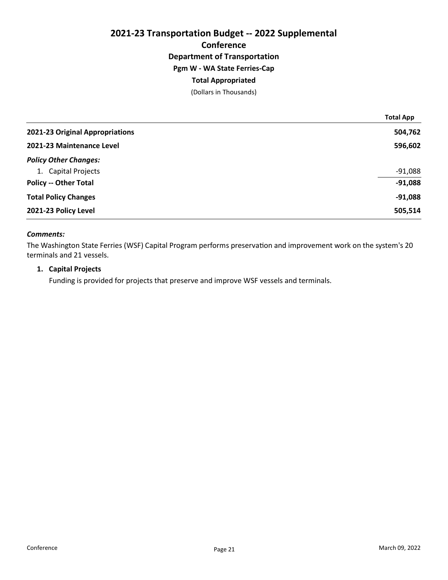# 2021-23 Transportation Budget -- 2022 Supplemental **Conference** Department of Transportation Pgm W - WA State Ferries-Cap Total Appropriated (Dollars in Thousands)

|                                 | <b>Total App</b> |
|---------------------------------|------------------|
| 2021-23 Original Appropriations | 504,762          |
| 2021-23 Maintenance Level       | 596,602          |
| <b>Policy Other Changes:</b>    |                  |
| 1. Capital Projects             | $-91,088$        |
| <b>Policy -- Other Total</b>    | $-91,088$        |
| <b>Total Policy Changes</b>     | $-91,088$        |
| 2021-23 Policy Level            | 505,514          |

# Comments:

The Washington State Ferries (WSF) Capital Program performs preservation and improvement work on the system's 20 terminals and 21 vessels.

## 1. Capital Projects

Funding is provided for projects that preserve and improve WSF vessels and terminals.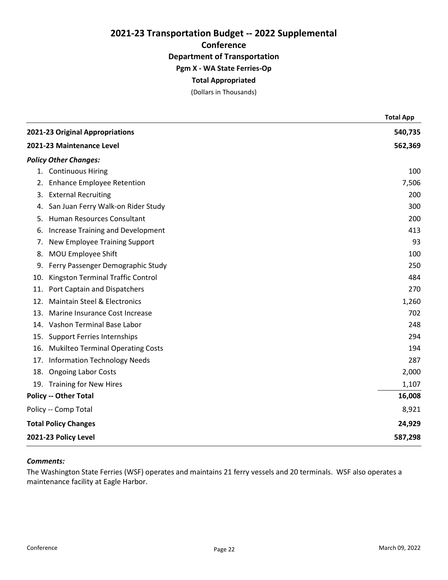2021-23 Transportation Budget -- 2022 Supplemental **Conference** Department of Transportation Pgm X - WA State Ferries-Op

# Total Appropriated

(Dollars in Thousands)

|                           |                                          | <b>Total App</b> |
|---------------------------|------------------------------------------|------------------|
|                           | 2021-23 Original Appropriations          | 540,735          |
| 2021-23 Maintenance Level |                                          | 562,369          |
|                           | <b>Policy Other Changes:</b>             |                  |
|                           | 1. Continuous Hiring                     | 100              |
| 2.                        | <b>Enhance Employee Retention</b>        | 7,506            |
|                           | 3. External Recruiting                   | 200              |
| 4.                        | San Juan Ferry Walk-on Rider Study       | 300              |
| 5.                        | Human Resources Consultant               | 200              |
| 6.                        | <b>Increase Training and Development</b> | 413              |
| 7.                        | New Employee Training Support            | 93               |
| 8.                        | MOU Employee Shift                       | 100              |
| 9.                        | Ferry Passenger Demographic Study        | 250              |
| 10.                       | Kingston Terminal Traffic Control        | 484              |
| 11.                       | Port Captain and Dispatchers             | 270              |
| 12.                       | <b>Maintain Steel &amp; Electronics</b>  | 1,260            |
| 13.                       | Marine Insurance Cost Increase           | 702              |
|                           | 14. Vashon Terminal Base Labor           | 248              |
|                           | 15. Support Ferries Internships          | 294              |
| 16.                       | <b>Mukilteo Terminal Operating Costs</b> | 194              |
| 17.                       | <b>Information Technology Needs</b>      | 287              |
|                           | 18. Ongoing Labor Costs                  | 2,000            |
|                           | 19. Training for New Hires               | 1,107            |
|                           | <b>Policy -- Other Total</b>             | 16,008           |
|                           | Policy -- Comp Total                     | 8,921            |
|                           | <b>Total Policy Changes</b>              | 24,929           |
| 2021-23 Policy Level      |                                          | 587,298          |

# Comments:

The Washington State Ferries (WSF) operates and maintains 21 ferry vessels and 20 terminals. WSF also operates a maintenance facility at Eagle Harbor.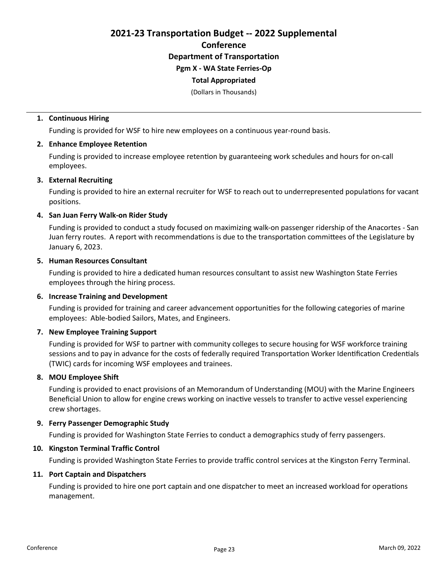2021-23 Transportation Budget -- 2022 Supplemental Conference Department of Transportation

# Pgm X - WA State Ferries-Op

# Total Appropriated

(Dollars in Thousands)

# 1. Continuous Hiring

Funding is provided for WSF to hire new employees on a continuous year-round basis.

## 2. Enhance Employee Retention

Funding is provided to increase employee retention by guaranteeing work schedules and hours for on-call employees.

# 3. External Recruiting

Funding is provided to hire an external recruiter for WSF to reach out to underrepresented populations for vacant positions.

# 4. San Juan Ferry Walk-on Rider Study

Funding is provided to conduct a study focused on maximizing walk-on passenger ridership of the Anacortes - San Juan ferry routes. A report with recommendations is due to the transportation committees of the Legislature by January 6, 2023.

## 5. Human Resources Consultant

Funding is provided to hire a dedicated human resources consultant to assist new Washington State Ferries employees through the hiring process.

## 6. Increase Training and Development

Funding is provided for training and career advancement opportunities for the following categories of marine employees: Able-bodied Sailors, Mates, and Engineers.

## 7. New Employee Training Support

Funding is provided for WSF to partner with community colleges to secure housing for WSF workforce training sessions and to pay in advance for the costs of federally required Transportation Worker Identification Credentials (TWIC) cards for incoming WSF employees and trainees.

## 8. MOU Employee Shift

Funding is provided to enact provisions of an Memorandum of Understanding (MOU) with the Marine Engineers Beneficial Union to allow for engine crews working on inactive vessels to transfer to active vessel experiencing crew shortages.

## 9. Ferry Passenger Demographic Study

Funding is provided for Washington State Ferries to conduct a demographics study of ferry passengers.

## 10. Kingston Terminal Traffic Control

Funding is provided Washington State Ferries to provide traffic control services at the Kingston Ferry Terminal.

## 11. Port Captain and Dispatchers

Funding is provided to hire one port captain and one dispatcher to meet an increased workload for operations management.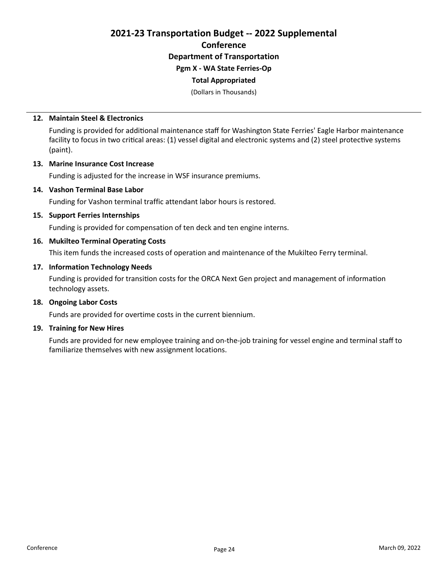2021-23 Transportation Budget -- 2022 Supplemental **Conference** Department of Transportation Pgm X - WA State Ferries-Op

## Total Appropriated

(Dollars in Thousands)

#### 12. Maintain Steel & Electronics

Funding is provided for additional maintenance staff for Washington State Ferries' Eagle Harbor maintenance facility to focus in two critical areas: (1) vessel digital and electronic systems and (2) steel protective systems (paint).

#### 13. Marine Insurance Cost Increase

Funding is adjusted for the increase in WSF insurance premiums.

#### 14. Vashon Terminal Base Labor

Funding for Vashon terminal traffic attendant labor hours is restored.

## 15. Support Ferries Internships

Funding is provided for compensation of ten deck and ten engine interns.

## 16. Mukilteo Terminal Operating Costs

This item funds the increased costs of operation and maintenance of the Mukilteo Ferry terminal.

#### 17. Information Technology Needs

Funding is provided for transition costs for the ORCA Next Gen project and management of information technology assets.

# 18. Ongoing Labor Costs

Funds are provided for overtime costs in the current biennium.

#### 19. Training for New Hires

Funds are provided for new employee training and on-the-job training for vessel engine and terminal staff to familiarize themselves with new assignment locations.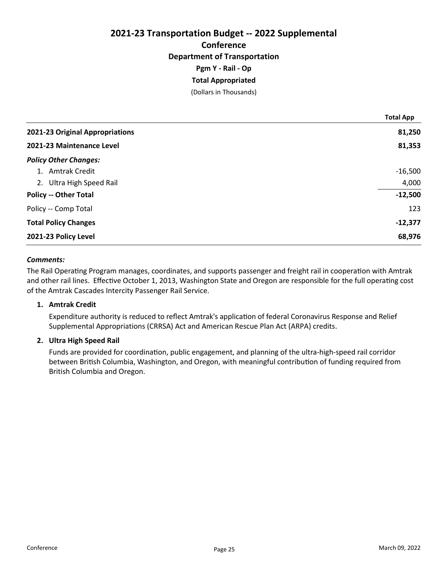# 2021-23 Transportation Budget -- 2022 Supplemental **Conference** Department of Transportation Pgm Y - Rail - Op Total Appropriated

(Dollars in Thousands)

|                                 | <b>Total App</b> |
|---------------------------------|------------------|
| 2021-23 Original Appropriations | 81,250           |
| 2021-23 Maintenance Level       | 81,353           |
| <b>Policy Other Changes:</b>    |                  |
| 1. Amtrak Credit                | $-16,500$        |
| 2. Ultra High Speed Rail        | 4,000            |
| <b>Policy -- Other Total</b>    | $-12,500$        |
| Policy -- Comp Total            | 123              |
| <b>Total Policy Changes</b>     | $-12,377$        |
| 2021-23 Policy Level            | 68,976           |

## Comments:

The Rail Operating Program manages, coordinates, and supports passenger and freight rail in cooperation with Amtrak and other rail lines. Effective October 1, 2013, Washington State and Oregon are responsible for the full operating cost of the Amtrak Cascades Intercity Passenger Rail Service.

## 1. Amtrak Credit

Expenditure authority is reduced to reflect Amtrak's application of federal Coronavirus Response and Relief Supplemental Appropriations (CRRSA) Act and American Rescue Plan Act (ARPA) credits.

# 2. Ultra High Speed Rail

Funds are provided for coordination, public engagement, and planning of the ultra-high-speed rail corridor between British Columbia, Washington, and Oregon, with meaningful contribution of funding required from British Columbia and Oregon.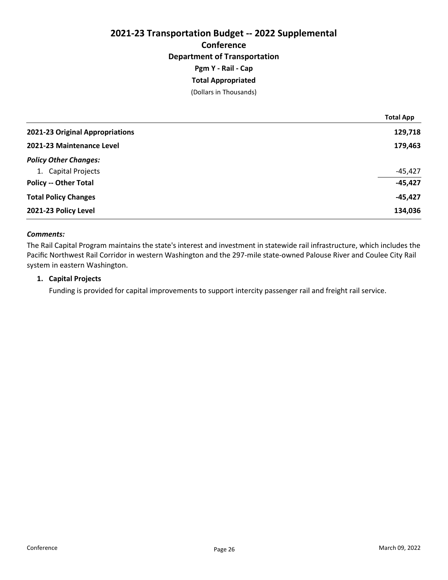# 2021-23 Transportation Budget -- 2022 Supplemental **Conference** Department of Transportation Pgm Y - Rail - Cap Total Appropriated

(Dollars in Thousands)

|                                 | <b>Total App</b> |
|---------------------------------|------------------|
| 2021-23 Original Appropriations | 129,718          |
| 2021-23 Maintenance Level       | 179,463          |
| <b>Policy Other Changes:</b>    |                  |
| 1. Capital Projects             | $-45,427$        |
| <b>Policy -- Other Total</b>    | $-45,427$        |
| <b>Total Policy Changes</b>     | $-45,427$        |
| 2021-23 Policy Level            | 134,036          |

# Comments:

The Rail Capital Program maintains the state's interest and investment in statewide rail infrastructure, which includes the Pacific Northwest Rail Corridor in western Washington and the 297-mile state-owned Palouse River and Coulee City Rail system in eastern Washington.

# 1. Capital Projects

Funding is provided for capital improvements to support intercity passenger rail and freight rail service.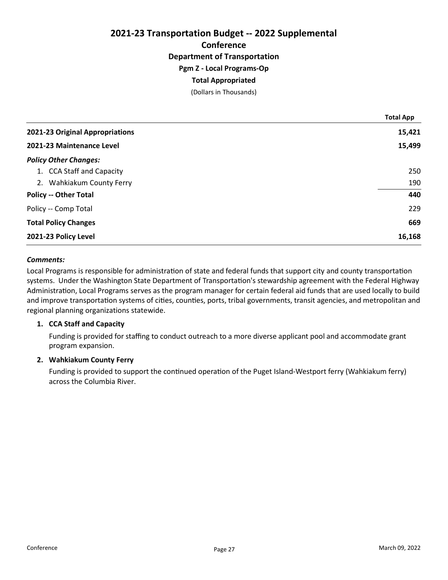# 2021-23 Transportation Budget -- 2022 Supplemental **Conference** Department of Transportation Pgm Z - Local Programs-Op Total Appropriated

(Dollars in Thousands)

|                                 | <b>Total App</b> |
|---------------------------------|------------------|
| 2021-23 Original Appropriations | 15,421           |
| 2021-23 Maintenance Level       | 15,499           |
| <b>Policy Other Changes:</b>    |                  |
| 1. CCA Staff and Capacity       | 250              |
| 2. Wahkiakum County Ferry       | 190              |
| <b>Policy -- Other Total</b>    | 440              |
| Policy -- Comp Total            | 229              |
| <b>Total Policy Changes</b>     | 669              |
| 2021-23 Policy Level            | 16,168           |

## Comments:

Local Programs is responsible for administration of state and federal funds that support city and county transportation systems. Under the Washington State Department of Transportation's stewardship agreement with the Federal Highway Administration, Local Programs serves as the program manager for certain federal aid funds that are used locally to build and improve transportation systems of cities, counties, ports, tribal governments, transit agencies, and metropolitan and regional planning organizations statewide.

# 1. CCA Staff and Capacity

Funding is provided for staffing to conduct outreach to a more diverse applicant pool and accommodate grant program expansion.

## 2. Wahkiakum County Ferry

Funding is provided to support the continued operation of the Puget Island-Westport ferry (Wahkiakum ferry) across the Columbia River.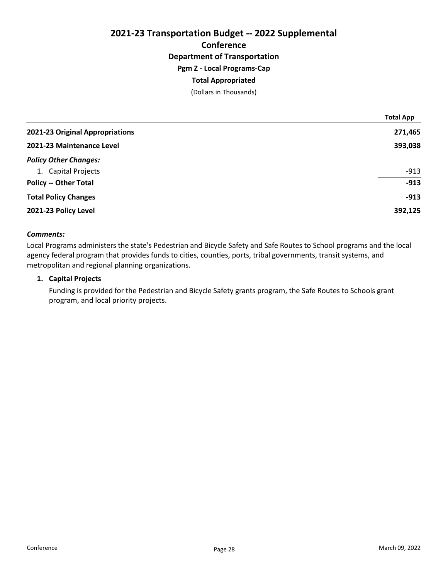# 2021-23 Transportation Budget -- 2022 Supplemental **Conference** Department of Transportation Pgm Z - Local Programs-Cap Total Appropriated (Dollars in Thousands)

|                                 | <b>Total App</b> |
|---------------------------------|------------------|
| 2021-23 Original Appropriations | 271,465          |
| 2021-23 Maintenance Level       | 393,038          |
| <b>Policy Other Changes:</b>    |                  |
| 1. Capital Projects             | $-913$           |
| <b>Policy -- Other Total</b>    | $-913$           |
| <b>Total Policy Changes</b>     | $-913$           |
| 2021-23 Policy Level            | 392,125          |

# Comments:

Local Programs administers the state's Pedestrian and Bicycle Safety and Safe Routes to School programs and the local agency federal program that provides funds to cities, counties, ports, tribal governments, transit systems, and metropolitan and regional planning organizations.

#### 1. Capital Projects

Funding is provided for the Pedestrian and Bicycle Safety grants program, the Safe Routes to Schools grant program, and local priority projects.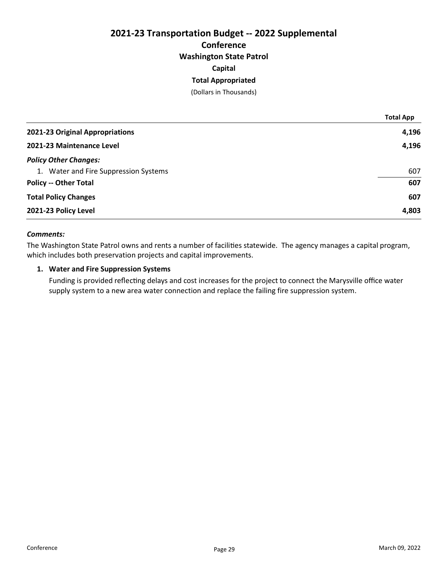# 2021-23 Transportation Budget -- 2022 Supplemental **Conference** Washington State Patrol Capital Total Appropriated

(Dollars in Thousands)

|                                       | <b>Total App</b> |
|---------------------------------------|------------------|
| 2021-23 Original Appropriations       | 4,196            |
| 2021-23 Maintenance Level             | 4,196            |
| <b>Policy Other Changes:</b>          |                  |
| 1. Water and Fire Suppression Systems | 607              |
| <b>Policy -- Other Total</b>          | 607              |
| <b>Total Policy Changes</b>           | 607              |
| 2021-23 Policy Level                  | 4,803            |

# Comments:

The Washington State Patrol owns and rents a number of facilities statewide. The agency manages a capital program, which includes both preservation projects and capital improvements.

# 1. Water and Fire Suppression Systems

Funding is provided reflecting delays and cost increases for the project to connect the Marysville office water supply system to a new area water connection and replace the failing fire suppression system.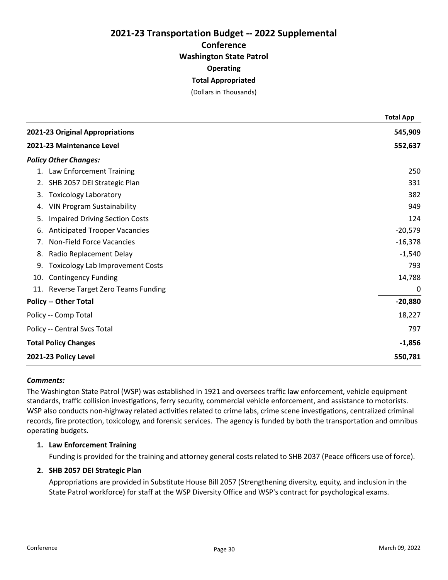# 2021-23 Transportation Budget -- 2022 Supplemental **Conference** Washington State Patrol **Operating** Total Appropriated

(Dollars in Thousands)

|                           |                                         | <b>Total App</b> |
|---------------------------|-----------------------------------------|------------------|
|                           | 2021-23 Original Appropriations         | 545,909          |
| 2021-23 Maintenance Level |                                         | 552,637          |
|                           | <b>Policy Other Changes:</b>            |                  |
|                           | 1. Law Enforcement Training             | 250              |
| 2.                        | SHB 2057 DEI Strategic Plan             | 331              |
| 3.                        | <b>Toxicology Laboratory</b>            | 382              |
| 4.                        | <b>VIN Program Sustainability</b>       | 949              |
| 5.                        | <b>Impaired Driving Section Costs</b>   | 124              |
| 6.                        | <b>Anticipated Trooper Vacancies</b>    | $-20,579$        |
| 7.                        | Non-Field Force Vacancies               | $-16,378$        |
| 8.                        | Radio Replacement Delay                 | $-1,540$         |
| 9.                        | <b>Toxicology Lab Improvement Costs</b> | 793              |
|                           | 10. Contingency Funding                 | 14,788           |
|                           | 11. Reverse Target Zero Teams Funding   | 0                |
|                           | <b>Policy -- Other Total</b>            | $-20,880$        |
|                           | Policy -- Comp Total                    | 18,227           |
|                           | Policy -- Central Svcs Total            | 797              |
|                           | <b>Total Policy Changes</b>             | $-1,856$         |
| 2021-23 Policy Level      |                                         | 550,781          |

## Comments:

The Washington State Patrol (WSP) was established in 1921 and oversees traffic law enforcement, vehicle equipment standards, traffic collision investigations, ferry security, commercial vehicle enforcement, and assistance to motorists. WSP also conducts non-highway related activities related to crime labs, crime scene investigations, centralized criminal records, fire protection, toxicology, and forensic services. The agency is funded by both the transportation and omnibus operating budgets.

# 1. Law Enforcement Training

Funding is provided for the training and attorney general costs related to SHB 2037 (Peace officers use of force).

# 2. SHB 2057 DEI Strategic Plan

Appropriations are provided in Substitute House Bill 2057 (Strengthening diversity, equity, and inclusion in the State Patrol workforce) for staff at the WSP Diversity Office and WSP's contract for psychological exams.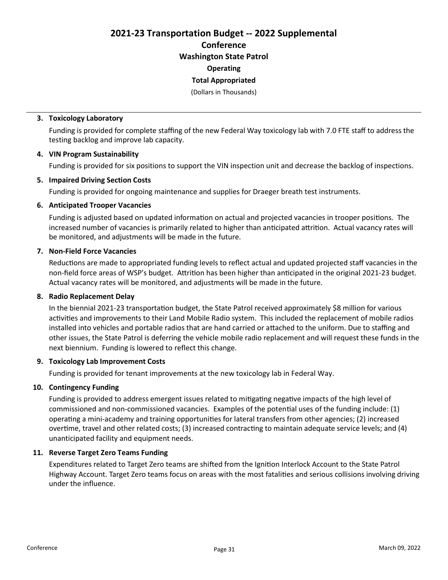2021-23 Transportation Budget -- 2022 Supplemental Conference Washington State Patrol **Operating** 

Total Appropriated

(Dollars in Thousands)

## 3. Toxicology Laboratory

Funding is provided for complete staffing of the new Federal Way toxicology lab with 7.0 FTE staff to address the testing backlog and improve lab capacity.

## 4. VIN Program Sustainability

Funding is provided for six positions to support the VIN inspection unit and decrease the backlog of inspections.

# 5. Impaired Driving Section Costs

Funding is provided for ongoing maintenance and supplies for Draeger breath test instruments.

# 6. Anticipated Trooper Vacancies

Funding is adjusted based on updated information on actual and projected vacancies in trooper positions. The increased number of vacancies is primarily related to higher than anticipated attrition. Actual vacancy rates will be monitored, and adjustments will be made in the future.

# 7. Non-Field Force Vacancies

Reductions are made to appropriated funding levels to reflect actual and updated projected staff vacancies in the non-field force areas of WSP's budget. Attrition has been higher than anticipated in the original 2021-23 budget. Actual vacancy rates will be monitored, and adjustments will be made in the future.

## 8. Radio Replacement Delay

In the biennial 2021-23 transportation budget, the State Patrol received approximately \$8 million for various activities and improvements to their Land Mobile Radio system. This included the replacement of mobile radios installed into vehicles and portable radios that are hand carried or attached to the uniform. Due to staffing and other issues, the State Patrol is deferring the vehicle mobile radio replacement and will request these funds in the next biennium. Funding is lowered to reflect this change.

## 9. Toxicology Lab Improvement Costs

Funding is provided for tenant improvements at the new toxicology lab in Federal Way.

## 10. Contingency Funding

Funding is provided to address emergent issues related to mitigating negative impacts of the high level of commissioned and non-commissioned vacancies. Examples of the potential uses of the funding include: (1) operating a mini-academy and training opportunities for lateral transfers from other agencies; (2) increased overtime, travel and other related costs; (3) increased contracting to maintain adequate service levels; and (4) unanticipated facility and equipment needs.

## 11. Reverse Target Zero Teams Funding

Expenditures related to Target Zero teams are shifted from the Ignition Interlock Account to the State Patrol Highway Account. Target Zero teams focus on areas with the most fatalities and serious collisions involving driving under the influence.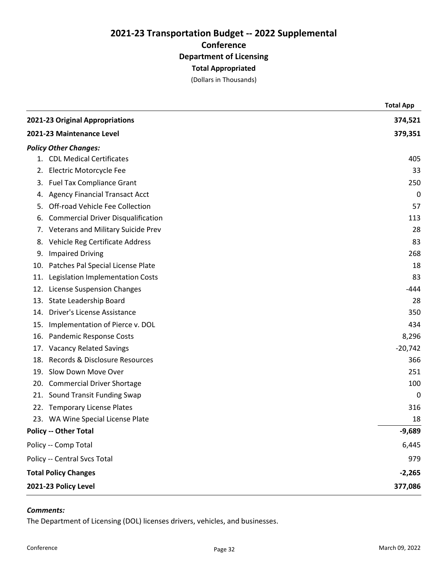(Dollars in Thousands)

|                           |                                           | <b>Total App</b> |
|---------------------------|-------------------------------------------|------------------|
|                           | 2021-23 Original Appropriations           | 374,521          |
| 2021-23 Maintenance Level |                                           | 379,351          |
|                           | <b>Policy Other Changes:</b>              |                  |
|                           | 1. CDL Medical Certificates               | 405              |
|                           | 2. Electric Motorcycle Fee                | 33               |
|                           | 3. Fuel Tax Compliance Grant              | 250              |
| 4.                        | <b>Agency Financial Transact Acct</b>     | 0                |
| 5.                        | Off-road Vehicle Fee Collection           | 57               |
| 6.                        | <b>Commercial Driver Disqualification</b> | 113              |
| 7.                        | Veterans and Military Suicide Prev        | 28               |
| 8.                        | Vehicle Reg Certificate Address           | 83               |
| 9.                        | <b>Impaired Driving</b>                   | 268              |
| 10.                       | Patches Pal Special License Plate         | 18               |
| 11.                       | Legislation Implementation Costs          | 83               |
|                           | 12. License Suspension Changes            | -444             |
| 13.                       | State Leadership Board                    | 28               |
|                           | 14. Driver's License Assistance           | 350              |
| 15.                       | Implementation of Pierce v. DOL           | 434              |
|                           | 16. Pandemic Response Costs               | 8,296            |
|                           | 17. Vacancy Related Savings               | $-20,742$        |
| 18.                       | Records & Disclosure Resources            | 366              |
|                           | 19. Slow Down Move Over                   | 251              |
|                           | 20. Commercial Driver Shortage            | 100              |
|                           | 21. Sound Transit Funding Swap            | 0                |
|                           | 22. Temporary License Plates              | 316              |
|                           | 23. WA Wine Special License Plate         | 18               |
|                           | <b>Policy -- Other Total</b>              | $-9,689$         |
|                           | Policy -- Comp Total                      | 6,445            |
|                           | Policy -- Central Svcs Total              | 979              |
|                           | <b>Total Policy Changes</b>               | $-2,265$         |
|                           | 2021-23 Policy Level                      | 377,086          |

## Comments:

The Department of Licensing (DOL) licenses drivers, vehicles, and businesses.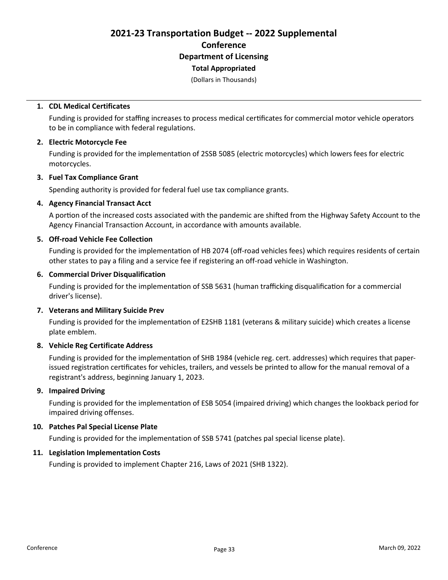(Dollars in Thousands)

#### 1. CDL Medical Certificates

Funding is provided for staffing increases to process medical certificates for commercial motor vehicle operators to be in compliance with federal regulations.

#### 2. Electric Motorcycle Fee

Funding is provided for the implementation of 2SSB 5085 (electric motorcycles) which lowers fees for electric motorcycles.

#### 3. Fuel Tax Compliance Grant

Spending authority is provided for federal fuel use tax compliance grants.

#### 4. Agency Financial Transact Acct

A portion of the increased costs associated with the pandemic are shifted from the Highway Safety Account to the Agency Financial Transaction Account, in accordance with amounts available.

## 5. Off-road Vehicle Fee Collection

Funding is provided for the implementation of HB 2074 (off-road vehicles fees) which requires residents of certain other states to pay a filing and a service fee if registering an off-road vehicle in Washington.

#### 6. Commercial Driver Disqualification

Funding is provided for the implementation of SSB 5631 (human trafficking disqualification for a commercial driver's license).

## 7. Veterans and Military Suicide Prev

Funding is provided for the implementation of E2SHB 1181 (veterans & military suicide) which creates a license plate emblem.

# 8. Vehicle Reg Certificate Address

Funding is provided for the implementation of SHB 1984 (vehicle reg. cert. addresses) which requires that paperissued registration certificates for vehicles, trailers, and vessels be printed to allow for the manual removal of a registrant's address, beginning January 1, 2023.

## 9. Impaired Driving

Funding is provided for the implementation of ESB 5054 (impaired driving) which changes the lookback period for impaired driving offenses.

# 10. Patches Pal Special License Plate

Funding is provided for the implementation of SSB 5741 (patches pal special license plate).

# 11. Legislation Implementation Costs

Funding is provided to implement Chapter 216, Laws of 2021 (SHB 1322).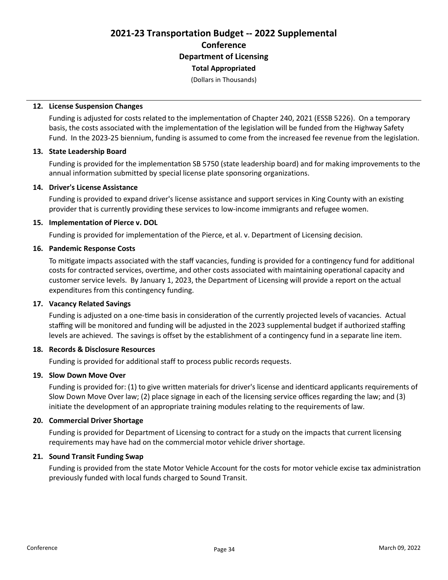(Dollars in Thousands)

#### 12. License Suspension Changes

Funding is adjusted for costs related to the implementation of Chapter 240, 2021 (ESSB 5226). On a temporary basis, the costs associated with the implementation of the legislation will be funded from the Highway Safety Fund. In the 2023-25 biennium, funding is assumed to come from the increased fee revenue from the legislation.

#### 13. State Leadership Board

Funding is provided for the implementation SB 5750 (state leadership board) and for making improvements to the annual information submitted by special license plate sponsoring organizations.

#### 14. Driver's License Assistance

Funding is provided to expand driver's license assistance and support services in King County with an existing provider that is currently providing these services to low-income immigrants and refugee women.

#### 15. Implementation of Pierce v. DOL

Funding is provided for implementation of the Pierce, et al. v. Department of Licensing decision.

#### 16. Pandemic Response Costs

To mitigate impacts associated with the staff vacancies, funding is provided for a contingency fund for additional costs for contracted services, overtime, and other costs associated with maintaining operational capacity and customer service levels. By January 1, 2023, the Department of Licensing will provide a report on the actual expenditures from this contingency funding.

## 17. Vacancy Related Savings

Funding is adjusted on a one-time basis in consideration of the currently projected levels of vacancies. Actual staffing will be monitored and funding will be adjusted in the 2023 supplemental budget if authorized staffing levels are achieved. The savings is offset by the establishment of a contingency fund in a separate line item.

# 18. Records & Disclosure Resources

Funding is provided for additional staff to process public records requests.

## 19. Slow Down Move Over

Funding is provided for: (1) to give written materials for driver's license and identicard applicants requirements of Slow Down Move Over law; (2) place signage in each of the licensing service offices regarding the law; and (3) initiate the development of an appropriate training modules relating to the requirements of law.

## 20. Commercial Driver Shortage

Funding is provided for Department of Licensing to contract for a study on the impacts that current licensing requirements may have had on the commercial motor vehicle driver shortage.

#### 21. Sound Transit Funding Swap

Funding is provided from the state Motor Vehicle Account for the costs for motor vehicle excise tax administration previously funded with local funds charged to Sound Transit.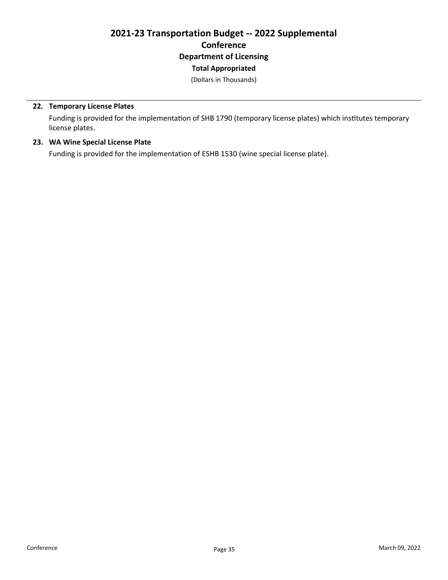(Dollars in Thousands)

# 22. Temporary License Plates

Funding is provided for the implementation of SHB 1790 (temporary license plates) which institutes temporary license plates.

# 23. WA Wine Special License Plate

Funding is provided for the implementation of ESHB 1530 (wine special license plate).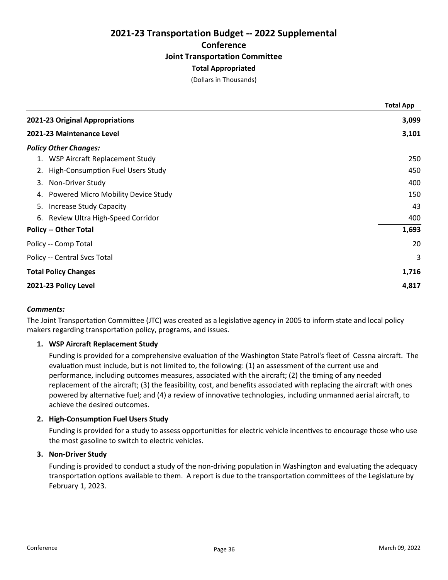# 2021-23 Transportation Budget -- 2022 Supplemental **Conference** Joint Transportation Committee Total Appropriated

(Dollars in Thousands)

|                                           | <b>Total App</b> |
|-------------------------------------------|------------------|
| 2021-23 Original Appropriations           | 3,099            |
| 2021-23 Maintenance Level                 | 3,101            |
| <b>Policy Other Changes:</b>              |                  |
| 1. WSP Aircraft Replacement Study         | 250              |
| 2. High-Consumption Fuel Users Study      | 450              |
| Non-Driver Study<br>3.                    | 400              |
| Powered Micro Mobility Device Study<br>4. | 150              |
| Increase Study Capacity<br>5.             | 43               |
| 6. Review Ultra High-Speed Corridor       | 400              |
| <b>Policy -- Other Total</b>              | 1,693            |
| Policy -- Comp Total                      | 20               |
| Policy -- Central Svcs Total              | 3                |
| <b>Total Policy Changes</b>               | 1,716            |
| 2021-23 Policy Level                      | 4,817            |
|                                           |                  |

# Comments:

The Joint Transportation Committee (JTC) was created as a legislative agency in 2005 to inform state and local policy makers regarding transportation policy, programs, and issues.

# 1. WSP Aircraft Replacement Study

Funding is provided for a comprehensive evaluation of the Washington State Patrol's fleet of Cessna aircraft. The evaluation must include, but is not limited to, the following: (1) an assessment of the current use and performance, including outcomes measures, associated with the aircraft; (2) the timing of any needed replacement of the aircraft; (3) the feasibility, cost, and benefits associated with replacing the aircraft with ones powered by alternative fuel; and (4) a review of innovative technologies, including unmanned aerial aircraft, to achieve the desired outcomes.

## 2. High-Consumption Fuel Users Study

Funding is provided for a study to assess opportunities for electric vehicle incentives to encourage those who use the most gasoline to switch to electric vehicles.

# 3. Non-Driver Study

Funding is provided to conduct a study of the non-driving population in Washington and evaluating the adequacy transportation options available to them. A report is due to the transportation committees of the Legislature by February 1, 2023.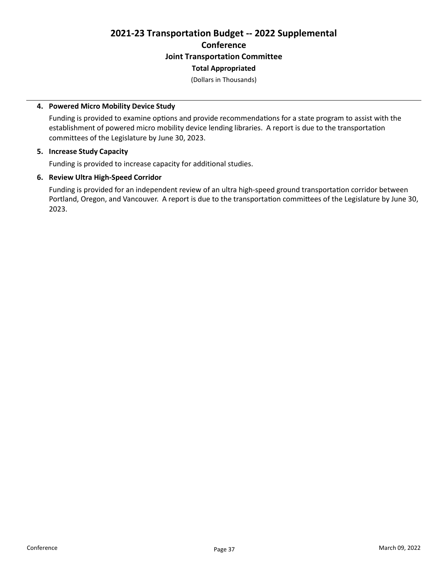# 2021-23 Transportation Budget -- 2022 Supplemental **Conference** Joint Transportation Committee

# Total Appropriated

(Dollars in Thousands)

# 4. Powered Micro Mobility Device Study

Funding is provided to examine options and provide recommendations for a state program to assist with the establishment of powered micro mobility device lending libraries. A report is due to the transportation committees of the Legislature by June 30, 2023.

# 5. Increase Study Capacity

Funding is provided to increase capacity for additional studies.

# 6. Review Ultra High-Speed Corridor

Funding is provided for an independent review of an ultra high-speed ground transportation corridor between Portland, Oregon, and Vancouver. A report is due to the transportation committees of the Legislature by June 30, 2023.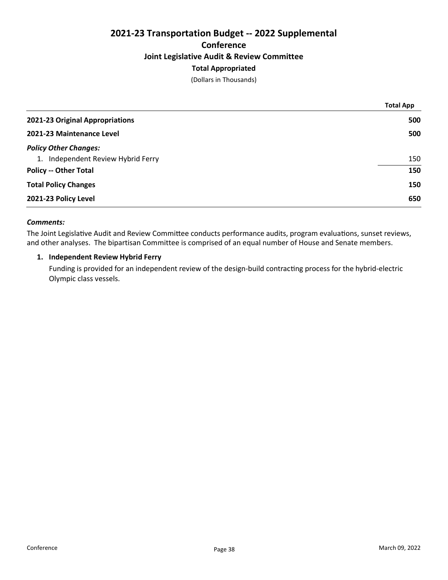# 2021-23 Transportation Budget -- 2022 Supplemental **Conference** Joint Legislative Audit & Review Committee Total Appropriated

(Dollars in Thousands)

| <b>Total App</b> |
|------------------|
| 500              |
| 500              |
|                  |
| 150              |
| 150              |
| 150              |
| 650              |
|                  |

# Comments:

The Joint Legislative Audit and Review Committee conducts performance audits, program evaluations, sunset reviews, and other analyses. The bipartisan Committee is comprised of an equal number of House and Senate members.

# 1. Independent Review Hybrid Ferry

Funding is provided for an independent review of the design-build contracting process for the hybrid-electric Olympic class vessels.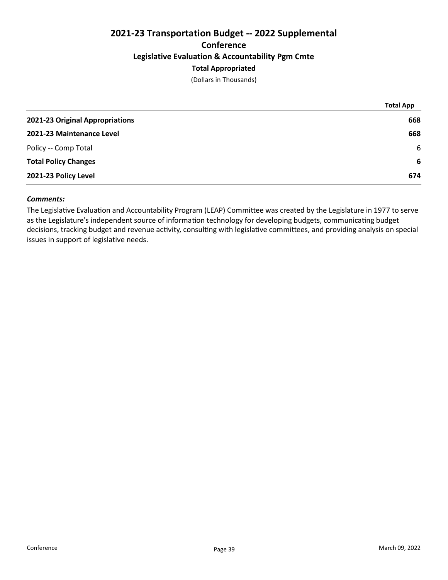# 2021-23 Transportation Budget -- 2022 Supplemental **Conference** Legislative Evaluation & Accountability Pgm Cmte Total Appropriated

(Dollars in Thousands)

|                                 | <b>Total App</b> |
|---------------------------------|------------------|
| 2021-23 Original Appropriations | 668              |
| 2021-23 Maintenance Level       | 668              |
| Policy -- Comp Total            | -6               |
| <b>Total Policy Changes</b>     | -6               |
| 2021-23 Policy Level            | 674              |

# Comments:

The Legislative Evaluation and Accountability Program (LEAP) Committee was created by the Legislature in 1977 to serve as the Legislature's independent source of information technology for developing budgets, communicating budget decisions, tracking budget and revenue activity, consulting with legislative committees, and providing analysis on special issues in support of legislative needs.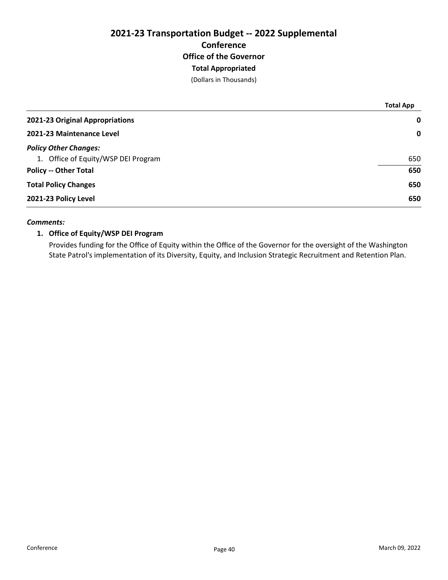# 2021-23 Transportation Budget -- 2022 Supplemental **Conference** Office of the Governor Total Appropriated

(Dollars in Thousands)

|                                     | <b>Total App</b> |
|-------------------------------------|------------------|
| 2021-23 Original Appropriations     | $\mathbf 0$      |
| 2021-23 Maintenance Level           | $\mathbf 0$      |
| <b>Policy Other Changes:</b>        |                  |
| 1. Office of Equity/WSP DEI Program | 650              |
| <b>Policy -- Other Total</b>        | 650              |
| <b>Total Policy Changes</b>         | 650              |
| 2021-23 Policy Level                | 650              |
|                                     |                  |

# Comments:

# 1. Office of Equity/WSP DEI Program

Provides funding for the Office of Equity within the Office of the Governor for the oversight of the Washington State Patrol's implementation of its Diversity, Equity, and Inclusion Strategic Recruitment and Retention Plan.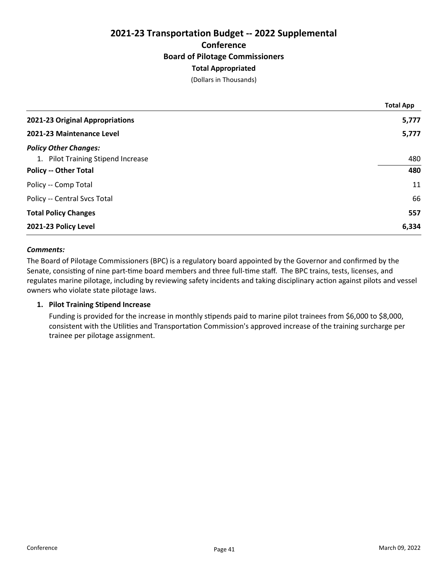# 2021-23 Transportation Budget -- 2022 Supplemental **Conference** Board of Pilotage Commissioners Total Appropriated

(Dollars in Thousands)

|                                    | <b>Total App</b> |
|------------------------------------|------------------|
| 2021-23 Original Appropriations    | 5,777            |
| 2021-23 Maintenance Level          | 5,777            |
| <b>Policy Other Changes:</b>       |                  |
| 1. Pilot Training Stipend Increase | 480              |
| <b>Policy -- Other Total</b>       | 480              |
| Policy -- Comp Total               | 11               |
| Policy -- Central Svcs Total       | 66               |
| <b>Total Policy Changes</b>        | 557              |
| 2021-23 Policy Level               | 6,334            |

## Comments:

The Board of Pilotage Commissioners (BPC) is a regulatory board appointed by the Governor and confirmed by the Senate, consisting of nine part-time board members and three full-time staff. The BPC trains, tests, licenses, and regulates marine pilotage, including by reviewing safety incidents and taking disciplinary action against pilots and vessel owners who violate state pilotage laws.

## 1. Pilot Training Stipend Increase

Funding is provided for the increase in monthly stipends paid to marine pilot trainees from \$6,000 to \$8,000, consistent with the Utilities and Transportation Commission's approved increase of the training surcharge per trainee per pilotage assignment.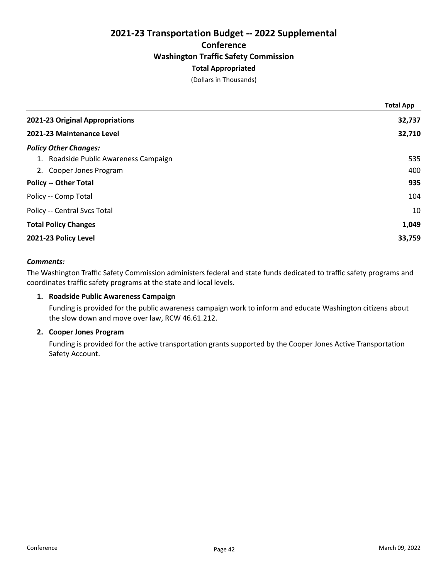# 2021-23 Transportation Budget -- 2022 Supplemental **Conference** Washington Traffic Safety Commission Total Appropriated

(Dollars in Thousands)

|                                       | <b>Total App</b> |
|---------------------------------------|------------------|
| 2021-23 Original Appropriations       | 32,737           |
| 2021-23 Maintenance Level             | 32,710           |
| <b>Policy Other Changes:</b>          |                  |
| 1. Roadside Public Awareness Campaign | 535              |
| 2. Cooper Jones Program               | 400              |
| <b>Policy -- Other Total</b>          | 935              |
| Policy -- Comp Total                  | 104              |
| Policy -- Central Svcs Total          | 10               |
| <b>Total Policy Changes</b>           | 1,049            |
| 2021-23 Policy Level                  | 33,759           |

## Comments:

The Washington Traffic Safety Commission administers federal and state funds dedicated to traffic safety programs and coordinates traffic safety programs at the state and local levels.

## 1. Roadside Public Awareness Campaign

Funding is provided for the public awareness campaign work to inform and educate Washington citizens about the slow down and move over law, RCW 46.61.212.

## 2. Cooper Jones Program

Funding is provided for the active transportation grants supported by the Cooper Jones Active Transportation Safety Account.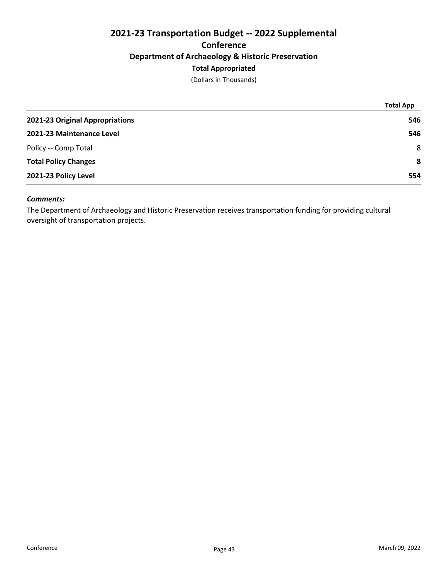# 2021-23 Transportation Budget -- 2022 Supplemental **Conference** Department of Archaeology & Historic Preservation Total Appropriated

(Dollars in Thousands)

|                                 | <b>Total App</b> |
|---------------------------------|------------------|
| 2021-23 Original Appropriations | 546              |
| 2021-23 Maintenance Level       | 546              |
| Policy -- Comp Total            | 8                |
| <b>Total Policy Changes</b>     | 8                |
| 2021-23 Policy Level            | 554              |

# Comments:

The Department of Archaeology and Historic Preservation receives transportation funding for providing cultural oversight of transportation projects.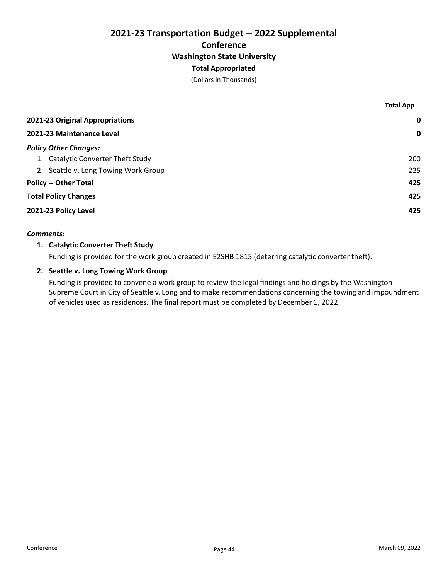# 2021-23 Transportation Budget -- 2022 Supplemental **Conference** Washington State University Total Appropriated

(Dollars in Thousands)

|                                      | <b>Total App</b> |
|--------------------------------------|------------------|
| 2021-23 Original Appropriations      | 0                |
| 2021-23 Maintenance Level            | $\mathbf 0$      |
| <b>Policy Other Changes:</b>         |                  |
| 1. Catalytic Converter Theft Study   | 200              |
| 2. Seattle v. Long Towing Work Group | 225              |
| <b>Policy -- Other Total</b>         | 425              |
| <b>Total Policy Changes</b>          | 425              |
| 2021-23 Policy Level                 | 425              |

# Comments:

# 1. Catalytic Converter Theft Study

Funding is provided for the work group created in E2SHB 1815 (deterring catalytic converter theft).

# 2. Seattle v. Long Towing Work Group

Funding is provided to convene a work group to review the legal findings and holdings by the Washington Supreme Court in City of Seattle v. Long and to make recommendations concerning the towing and impoundment of vehicles used as residences. The final report must be completed by December 1, 2022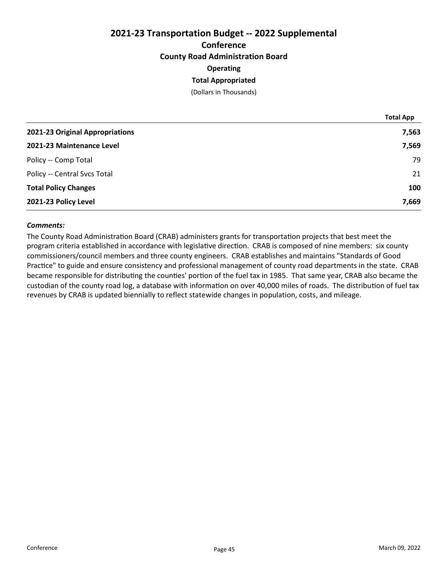# 2021-23 Transportation Budget -- 2022 Supplemental **Conference** County Road Administration Board **Operating** Total Appropriated

(Dollars in Thousands)

|                                 | <b>Total App</b> |
|---------------------------------|------------------|
| 2021-23 Original Appropriations | 7,563            |
| 2021-23 Maintenance Level       | 7,569            |
| Policy -- Comp Total            | 79               |
| Policy -- Central Svcs Total    | 21               |
| <b>Total Policy Changes</b>     | 100              |
| 2021-23 Policy Level            | 7,669            |

# Comments:

The County Road Administration Board (CRAB) administers grants for transportation projects that best meet the program criteria established in accordance with legislative direction. CRAB is composed of nine members: six county commissioners/council members and three county engineers. CRAB establishes and maintains "Standards of Good Practice" to guide and ensure consistency and professional management of county road departments in the state. CRAB became responsible for distributing the counties' portion of the fuel tax in 1985. That same year, CRAB also became the custodian of the county road log, a database with information on over 40,000 miles of roads. The distribution of fuel tax revenues by CRAB is updated biennially to reflect statewide changes in population, costs, and mileage.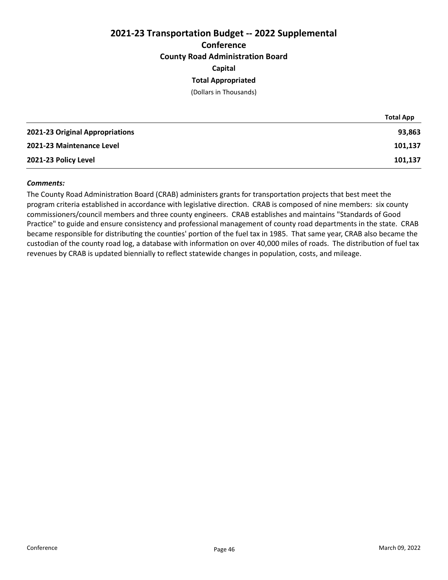# 2021-23 Transportation Budget -- 2022 Supplemental **Conference** County Road Administration Board Capital

# Total Appropriated

(Dollars in Thousands)

|                                 | <b>Total App</b> |
|---------------------------------|------------------|
| 2021-23 Original Appropriations | 93,863           |
| 2021-23 Maintenance Level       | 101,137          |
| 2021-23 Policy Level            | 101,137          |

#### Comments:

The County Road Administration Board (CRAB) administers grants for transportation projects that best meet the program criteria established in accordance with legislative direction. CRAB is composed of nine members: six county commissioners/council members and three county engineers. CRAB establishes and maintains "Standards of Good Practice" to guide and ensure consistency and professional management of county road departments in the state. CRAB became responsible for distributing the counties' portion of the fuel tax in 1985. That same year, CRAB also became the custodian of the county road log, a database with information on over 40,000 miles of roads. The distribution of fuel tax revenues by CRAB is updated biennially to reflect statewide changes in population, costs, and mileage.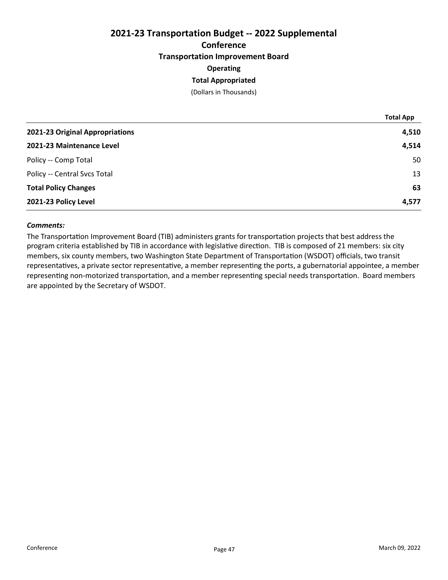# 2021-23 Transportation Budget -- 2022 Supplemental **Conference** Transportation Improvement Board **Operating** Total Appropriated

(Dollars in Thousands)

|                                 | <b>Total App</b> |
|---------------------------------|------------------|
| 2021-23 Original Appropriations | 4,510            |
| 2021-23 Maintenance Level       | 4,514            |
| Policy -- Comp Total            | 50               |
| Policy -- Central Svcs Total    | 13               |
| <b>Total Policy Changes</b>     | 63               |
| 2021-23 Policy Level            | 4,577            |

## Comments:

The Transportation Improvement Board (TIB) administers grants for transportation projects that best address the program criteria established by TIB in accordance with legislative direction. TIB is composed of 21 members: six city members, six county members, two Washington State Department of Transportation (WSDOT) officials, two transit representatives, a private sector representative, a member representing the ports, a gubernatorial appointee, a member representing non-motorized transportation, and a member representing special needs transportation. Board members are appointed by the Secretary of WSDOT.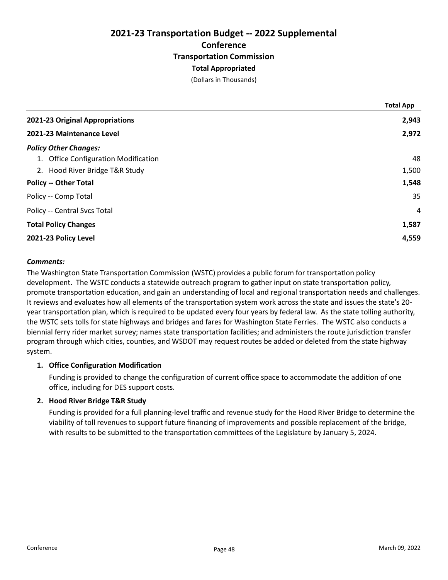# 2021-23 Transportation Budget -- 2022 Supplemental **Conference** Transportation Commission Total Appropriated

(Dollars in Thousands)

|                                      | <b>Total App</b> |
|--------------------------------------|------------------|
| 2021-23 Original Appropriations      | 2,943            |
| 2021-23 Maintenance Level            | 2,972            |
| <b>Policy Other Changes:</b>         |                  |
| 1. Office Configuration Modification | 48               |
| 2. Hood River Bridge T&R Study       | 1,500            |
| <b>Policy -- Other Total</b>         | 1,548            |
| Policy -- Comp Total                 | 35               |
| Policy -- Central Svcs Total         | $\overline{4}$   |
| <b>Total Policy Changes</b>          | 1,587            |
| 2021-23 Policy Level                 | 4,559            |

## Comments:

The Washington State Transportation Commission (WSTC) provides a public forum for transportation policy development. The WSTC conducts a statewide outreach program to gather input on state transportation policy, promote transportation education, and gain an understanding of local and regional transportation needs and challenges. It reviews and evaluates how all elements of the transportation system work across the state and issues the state's 20year transportation plan, which is required to be updated every four years by federal law. As the state tolling authority, the WSTC sets tolls for state highways and bridges and fares for Washington State Ferries. The WSTC also conducts a biennial ferry rider market survey; names state transportation facilities; and administers the route jurisdiction transfer program through which cities, counties, and WSDOT may request routes be added or deleted from the state highway system.

## 1. Office Configuration Modification

Funding is provided to change the configuration of current office space to accommodate the addition of one office, including for DES support costs.

# 2. Hood River Bridge T&R Study

Funding is provided for a full planning-level traffic and revenue study for the Hood River Bridge to determine the viability of toll revenues to support future financing of improvements and possible replacement of the bridge, with results to be submitted to the transportation committees of the Legislature by January 5, 2024.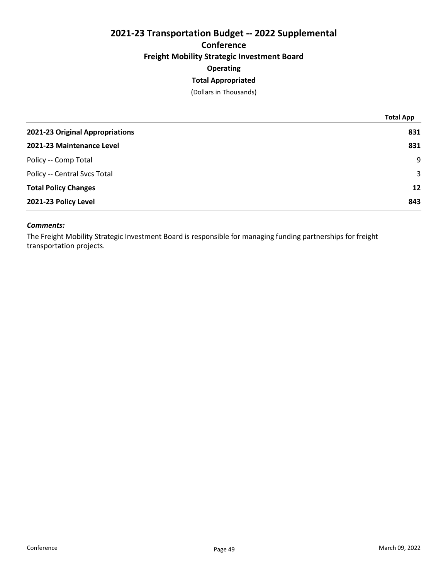# 2021-23 Transportation Budget -- 2022 Supplemental **Conference** Freight Mobility Strategic Investment Board **Operating**

# Total Appropriated

(Dollars in Thousands)

| <b>Total App</b>  |
|-------------------|
| 831               |
| 831               |
| 9                 |
| 3                 |
| $12 \overline{ }$ |
| 843               |
|                   |

## Comments:

The Freight Mobility Strategic Investment Board is responsible for managing funding partnerships for freight transportation projects.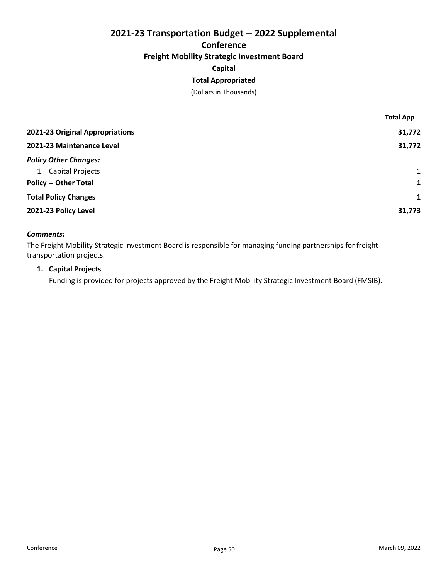# 2021-23 Transportation Budget -- 2022 Supplemental **Conference** Freight Mobility Strategic Investment Board Capital

# Total Appropriated

(Dollars in Thousands)

|                                 | <b>Total App</b> |
|---------------------------------|------------------|
| 2021-23 Original Appropriations | 31,772           |
| 2021-23 Maintenance Level       | 31,772           |
| <b>Policy Other Changes:</b>    |                  |
| 1. Capital Projects             | $\mathbf{1}$     |
| <b>Policy -- Other Total</b>    | 1                |
| <b>Total Policy Changes</b>     | $\mathbf{1}$     |
| 2021-23 Policy Level            | 31,773           |

## Comments:

The Freight Mobility Strategic Investment Board is responsible for managing funding partnerships for freight transportation projects.

# 1. Capital Projects

Funding is provided for projects approved by the Freight Mobility Strategic Investment Board (FMSIB).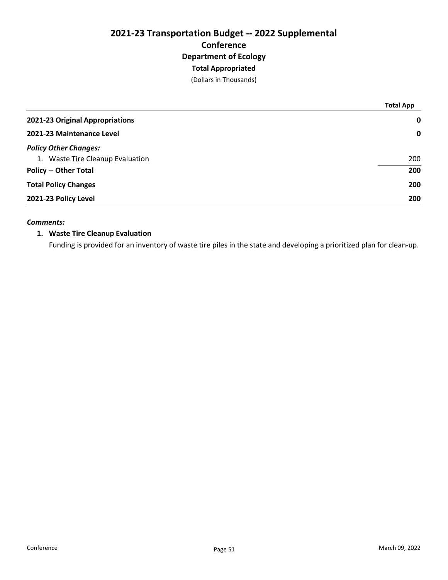(Dollars in Thousands)

|                                  | <b>Total App</b> |
|----------------------------------|------------------|
| 2021-23 Original Appropriations  | $\mathbf 0$      |
| 2021-23 Maintenance Level        | $\mathbf 0$      |
| <b>Policy Other Changes:</b>     |                  |
| 1. Waste Tire Cleanup Evaluation | 200              |
| <b>Policy -- Other Total</b>     | 200              |
| <b>Total Policy Changes</b>      | 200              |
| 2021-23 Policy Level             | 200              |

## Comments:

# 1. Waste Tire Cleanup Evaluation

Funding is provided for an inventory of waste tire piles in the state and developing a prioritized plan for clean-up.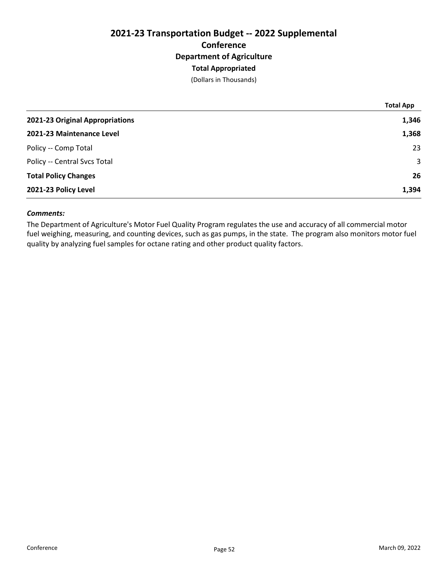(Dollars in Thousands)

|                                 | <b>Total App</b> |
|---------------------------------|------------------|
| 2021-23 Original Appropriations | 1,346            |
| 2021-23 Maintenance Level       | 1,368            |
| Policy -- Comp Total            | 23               |
| Policy -- Central Svcs Total    | 3                |
| <b>Total Policy Changes</b>     | 26               |
| 2021-23 Policy Level            | 1,394            |

# Comments:

The Department of Agriculture's Motor Fuel Quality Program regulates the use and accuracy of all commercial motor fuel weighing, measuring, and counting devices, such as gas pumps, in the state. The program also monitors motor fuel quality by analyzing fuel samples for octane rating and other product quality factors.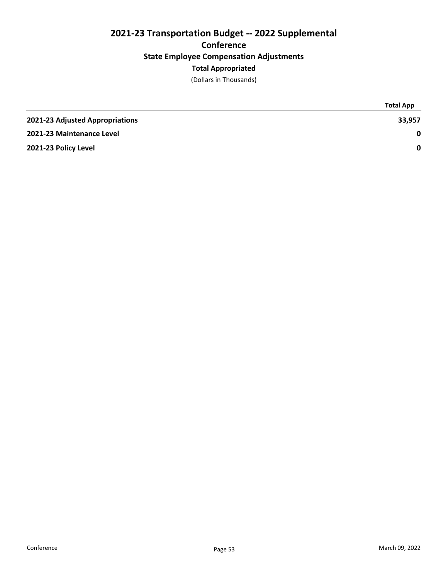# 2021-23 Transportation Budget -- 2022 Supplemental **Conference** State Employee Compensation Adjustments Total Appropriated

(Dollars in Thousands)

|                                 | <b>Total App</b> |
|---------------------------------|------------------|
| 2021-23 Adjusted Appropriations | 33,957           |
| 2021-23 Maintenance Level       | 0                |
| 2021-23 Policy Level            | $\mathbf{0}$     |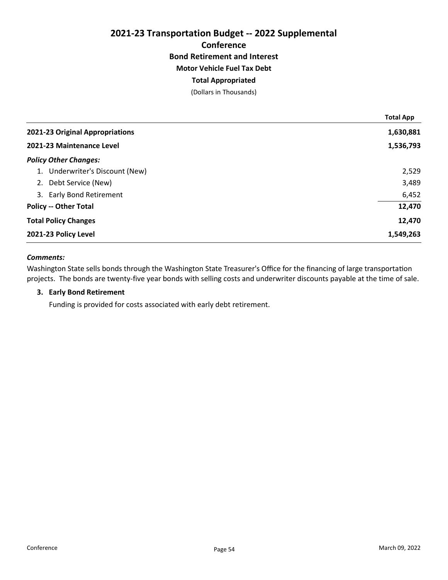# 2021-23 Transportation Budget -- 2022 Supplemental **Conference** Bond Retirement and Interest Motor Vehicle Fuel Tax Debt

# Total Appropriated

(Dollars in Thousands)

|                                    | <b>Total App</b> |
|------------------------------------|------------------|
| 2021-23 Original Appropriations    | 1,630,881        |
| 2021-23 Maintenance Level          | 1,536,793        |
| <b>Policy Other Changes:</b>       |                  |
| Underwriter's Discount (New)       | 2,529            |
| 2. Debt Service (New)              | 3,489            |
| <b>Early Bond Retirement</b><br>3. | 6,452            |
| <b>Policy -- Other Total</b>       | 12,470           |
| <b>Total Policy Changes</b>        | 12,470           |
| 2021-23 Policy Level               | 1,549,263        |

# Comments:

Washington State sells bonds through the Washington State Treasurer's Office for the financing of large transportation projects. The bonds are twenty-five year bonds with selling costs and underwriter discounts payable at the time of sale.

# 3. Early Bond Retirement

Funding is provided for costs associated with early debt retirement.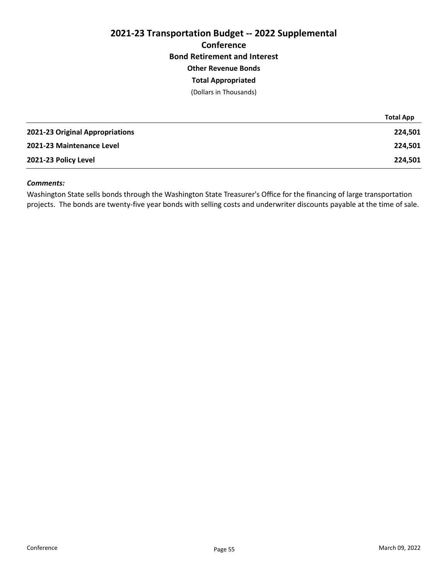# 2021-23 Transportation Budget -- 2022 Supplemental **Conference** Bond Retirement and Interest Other Revenue Bonds

# Total Appropriated

(Dollars in Thousands)

|                                 | <b>Total App</b> |
|---------------------------------|------------------|
| 2021-23 Original Appropriations | 224,501          |
| 2021-23 Maintenance Level       | 224.501          |
| 2021-23 Policy Level            | 224,501          |

## Comments:

Washington State sells bonds through the Washington State Treasurer's Office for the financing of large transportation projects. The bonds are twenty-five year bonds with selling costs and underwriter discounts payable at the time of sale.